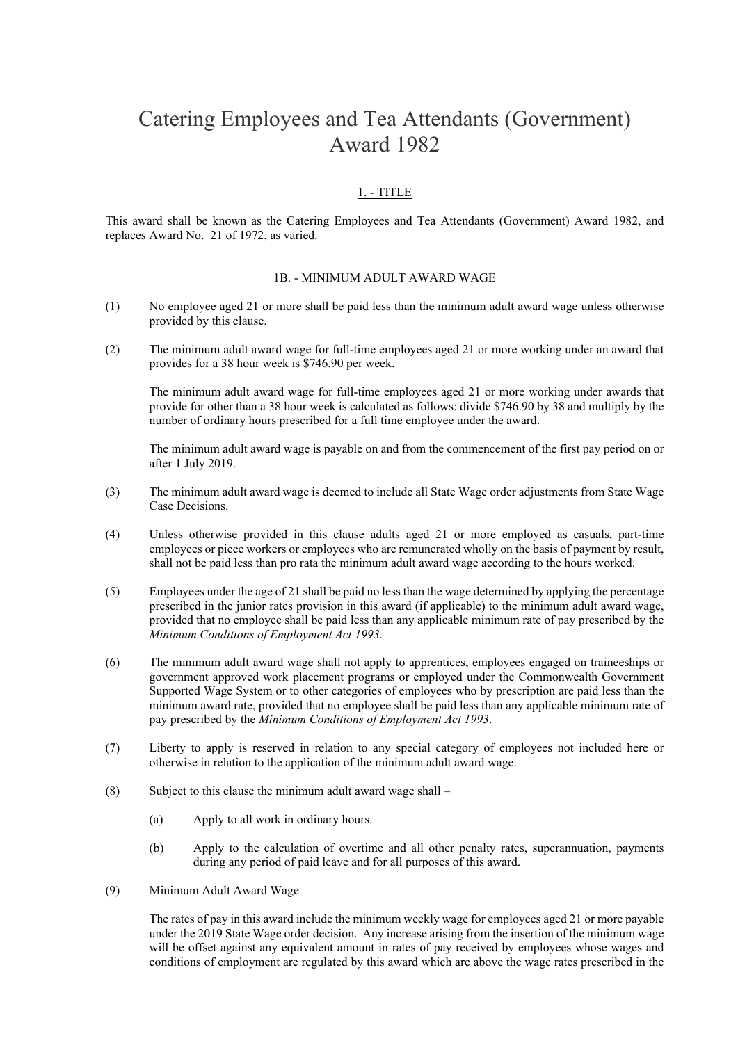# Catering Employees and Tea Attendants (Government) Award 1982

## 1. - TITLE

This award shall be known as the Catering Employees and Tea Attendants (Government) Award 1982, and replaces Award No. 21 of 1972, as varied.

#### 1B. - MINIMUM ADULT AWARD WAGE

- (1) No employee aged 21 or more shall be paid less than the minimum adult award wage unless otherwise provided by this clause.
- (2) The minimum adult award wage for full-time employees aged 21 or more working under an award that provides for a 38 hour week is \$746.90 per week.

The minimum adult award wage for full-time employees aged 21 or more working under awards that provide for other than a 38 hour week is calculated as follows: divide \$746.90 by 38 and multiply by the number of ordinary hours prescribed for a full time employee under the award.

The minimum adult award wage is payable on and from the commencement of the first pay period on or after 1 July 2019.

- (3) The minimum adult award wage is deemed to include all State Wage order adjustments from State Wage Case Decisions.
- (4) Unless otherwise provided in this clause adults aged 21 or more employed as casuals, part-time employees or piece workers or employees who are remunerated wholly on the basis of payment by result, shall not be paid less than pro rata the minimum adult award wage according to the hours worked.
- (5) Employees under the age of 21 shall be paid no less than the wage determined by applying the percentage prescribed in the junior rates provision in this award (if applicable) to the minimum adult award wage, provided that no employee shall be paid less than any applicable minimum rate of pay prescribed by the *Minimum Conditions of Employment Act 1993*.
- (6) The minimum adult award wage shall not apply to apprentices, employees engaged on traineeships or government approved work placement programs or employed under the Commonwealth Government Supported Wage System or to other categories of employees who by prescription are paid less than the minimum award rate, provided that no employee shall be paid less than any applicable minimum rate of pay prescribed by the *Minimum Conditions of Employment Act 1993*.
- (7) Liberty to apply is reserved in relation to any special category of employees not included here or otherwise in relation to the application of the minimum adult award wage.
- (8) Subject to this clause the minimum adult award wage shall  $-$ 
	- (a) Apply to all work in ordinary hours.
	- (b) Apply to the calculation of overtime and all other penalty rates, superannuation, payments during any period of paid leave and for all purposes of this award.
- (9) Minimum Adult Award Wage

The rates of pay in this award include the minimum weekly wage for employees aged 21 or more payable under the 2019 State Wage order decision. Any increase arising from the insertion of the minimum wage will be offset against any equivalent amount in rates of pay received by employees whose wages and conditions of employment are regulated by this award which are above the wage rates prescribed in the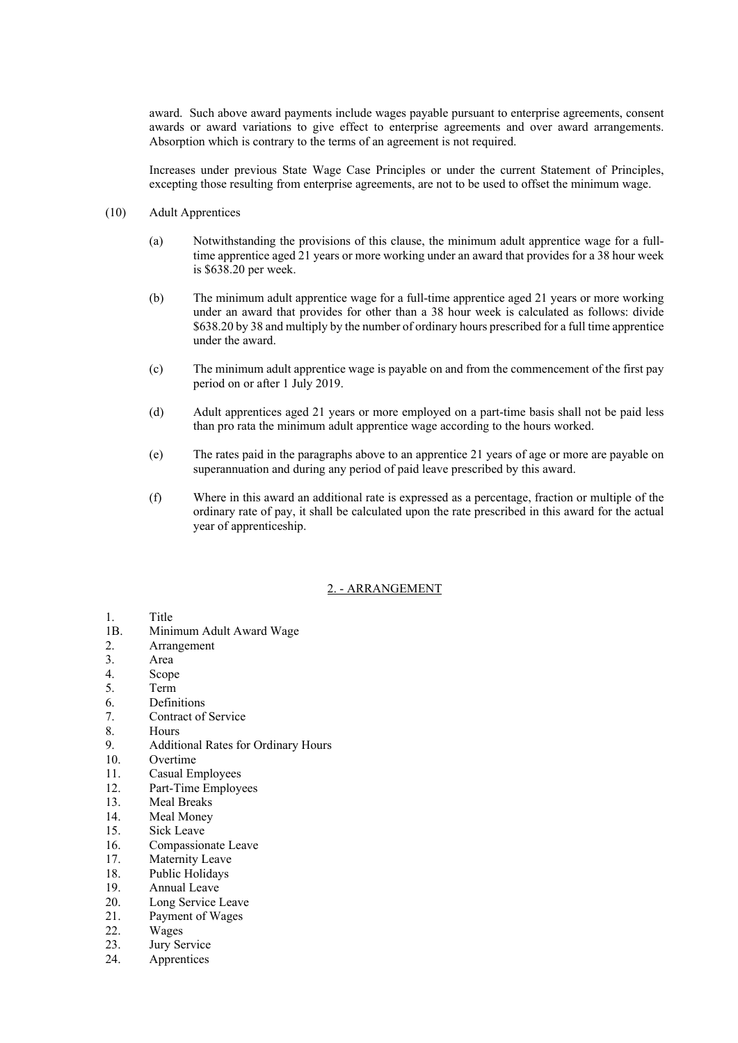award. Such above award payments include wages payable pursuant to enterprise agreements, consent awards or award variations to give effect to enterprise agreements and over award arrangements. Absorption which is contrary to the terms of an agreement is not required.

Increases under previous State Wage Case Principles or under the current Statement of Principles, excepting those resulting from enterprise agreements, are not to be used to offset the minimum wage.

- (10) Adult Apprentices
	- (a) Notwithstanding the provisions of this clause, the minimum adult apprentice wage for a fulltime apprentice aged 21 years or more working under an award that provides for a 38 hour week is \$638.20 per week.
	- (b) The minimum adult apprentice wage for a full-time apprentice aged 21 years or more working under an award that provides for other than a 38 hour week is calculated as follows: divide \$638.20 by 38 and multiply by the number of ordinary hours prescribed for a full time apprentice under the award.
	- (c) The minimum adult apprentice wage is payable on and from the commencement of the first pay period on or after 1 July 2019.
	- (d) Adult apprentices aged 21 years or more employed on a part-time basis shall not be paid less than pro rata the minimum adult apprentice wage according to the hours worked.
	- (e) The rates paid in the paragraphs above to an apprentice 21 years of age or more are payable on superannuation and during any period of paid leave prescribed by this award.
	- (f) Where in this award an additional rate is expressed as a percentage, fraction or multiple of the ordinary rate of pay, it shall be calculated upon the rate prescribed in this award for the actual year of apprenticeship.

### 2. - ARRANGEMENT

- 1. Title<br>1B. Mini
- Minimum Adult Award Wage
- 2. Arrangement
- 3. Area
- 4. Scope
- 5. Term
- 6. Definitions
- 7. Contract of Service
- 8. Hours
- 9. Additional Rates for Ordinary Hours
- 10. Overtime
- 11. Casual Employees
- 12. Part-Time Employees
- 13. Meal Breaks
- 14. Meal Money
- 15. Sick Leave
- 16. Compassionate Leave
- 17. Maternity Leave
- 18. Public Holidays
- 19. Annual Leave
- 20. Long Service Leave
- 21. Payment of Wages
- 22. Wages
- 23. Jury Service
- 24. Apprentices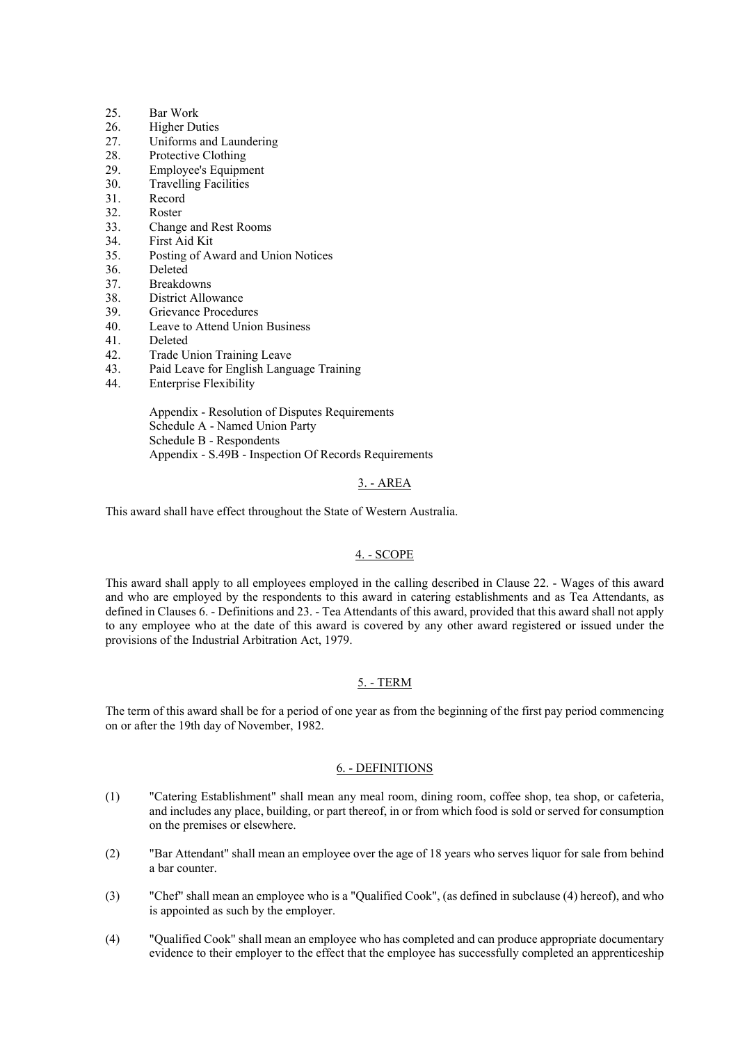- 25. Bar Work
- 26. Higher Duties
- 27. Uniforms and Laundering
- 28. Protective Clothing
- 29. Employee's Equipment
- 30. Travelling Facilities
- 31. Record
- 32. Roster
- 33. Change and Rest Rooms
- 34. First Aid Kit
- 35. Posting of Award and Union Notices
- 36. Deleted
- 37. Breakdowns
- 38. District Allowance
- 39. Grievance Procedures
- 40. Leave to Attend Union Business
- 41. Deleted
- 42. Trade Union Training Leave
- 43. Paid Leave for English Language Training
- 44. Enterprise Flexibility

Appendix - Resolution of Disputes Requirements Schedule A - Named Union Party Schedule B - Respondents Appendix - S.49B - Inspection Of Records Requirements

### 3. - AREA

This award shall have effect throughout the State of Western Australia.

## 4. - SCOPE

This award shall apply to all employees employed in the calling described in Clause 22. - Wages of this award and who are employed by the respondents to this award in catering establishments and as Tea Attendants, as defined in Clauses 6. - Definitions and 23. - Tea Attendants of this award, provided that this award shall not apply to any employee who at the date of this award is covered by any other award registered or issued under the provisions of the Industrial Arbitration Act, 1979.

### 5. - TERM

The term of this award shall be for a period of one year as from the beginning of the first pay period commencing on or after the 19th day of November, 1982.

#### 6. - DEFINITIONS

- (1) "Catering Establishment" shall mean any meal room, dining room, coffee shop, tea shop, or cafeteria, and includes any place, building, or part thereof, in or from which food is sold or served for consumption on the premises or elsewhere.
- (2) "Bar Attendant" shall mean an employee over the age of 18 years who serves liquor for sale from behind a bar counter.
- (3) "Chef" shall mean an employee who is a "Qualified Cook", (as defined in subclause (4) hereof), and who is appointed as such by the employer.
- (4) "Qualified Cook" shall mean an employee who has completed and can produce appropriate documentary evidence to their employer to the effect that the employee has successfully completed an apprenticeship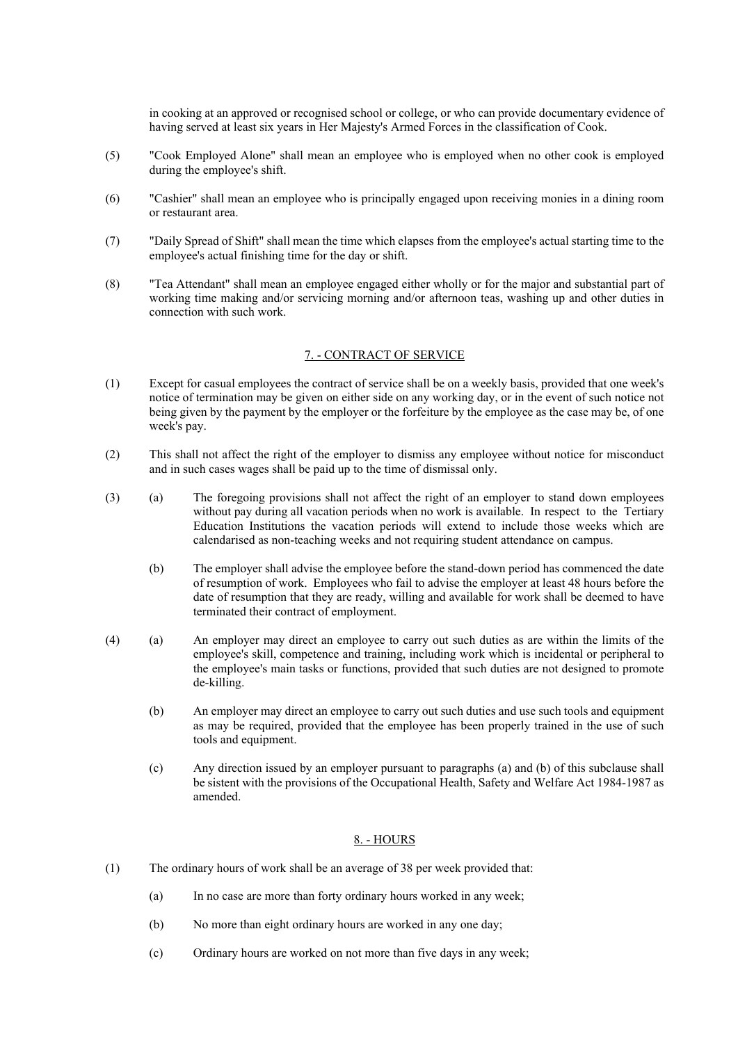in cooking at an approved or recognised school or college, or who can provide documentary evidence of having served at least six years in Her Majesty's Armed Forces in the classification of Cook.

- (5) "Cook Employed Alone" shall mean an employee who is employed when no other cook is employed during the employee's shift.
- (6) "Cashier" shall mean an employee who is principally engaged upon receiving monies in a dining room or restaurant area.
- (7) "Daily Spread of Shift" shall mean the time which elapses from the employee's actual starting time to the employee's actual finishing time for the day or shift.
- (8) "Tea Attendant" shall mean an employee engaged either wholly or for the major and substantial part of working time making and/or servicing morning and/or afternoon teas, washing up and other duties in connection with such work.

#### 7. - CONTRACT OF SERVICE

- (1) Except for casual employees the contract of service shall be on a weekly basis, provided that one week's notice of termination may be given on either side on any working day, or in the event of such notice not being given by the payment by the employer or the forfeiture by the employee as the case may be, of one week's pay.
- (2) This shall not affect the right of the employer to dismiss any employee without notice for misconduct and in such cases wages shall be paid up to the time of dismissal only.
- (3) (a) The foregoing provisions shall not affect the right of an employer to stand down employees without pay during all vacation periods when no work is available. In respect to the Tertiary Education Institutions the vacation periods will extend to include those weeks which are calendarised as non-teaching weeks and not requiring student attendance on campus.
	- (b) The employer shall advise the employee before the stand-down period has commenced the date of resumption of work. Employees who fail to advise the employer at least 48 hours before the date of resumption that they are ready, willing and available for work shall be deemed to have terminated their contract of employment.
- (4) (a) An employer may direct an employee to carry out such duties as are within the limits of the employee's skill, competence and training, including work which is incidental or peripheral to the employee's main tasks or functions, provided that such duties are not designed to promote de-killing.
	- (b) An employer may direct an employee to carry out such duties and use such tools and equipment as may be required, provided that the employee has been properly trained in the use of such tools and equipment.
	- (c) Any direction issued by an employer pursuant to paragraphs (a) and (b) of this subclause shall be sistent with the provisions of the Occupational Health, Safety and Welfare Act 1984-1987 as amended.

### 8. - HOURS

- (1) The ordinary hours of work shall be an average of 38 per week provided that:
	- (a) In no case are more than forty ordinary hours worked in any week;
	- (b) No more than eight ordinary hours are worked in any one day;
	- (c) Ordinary hours are worked on not more than five days in any week;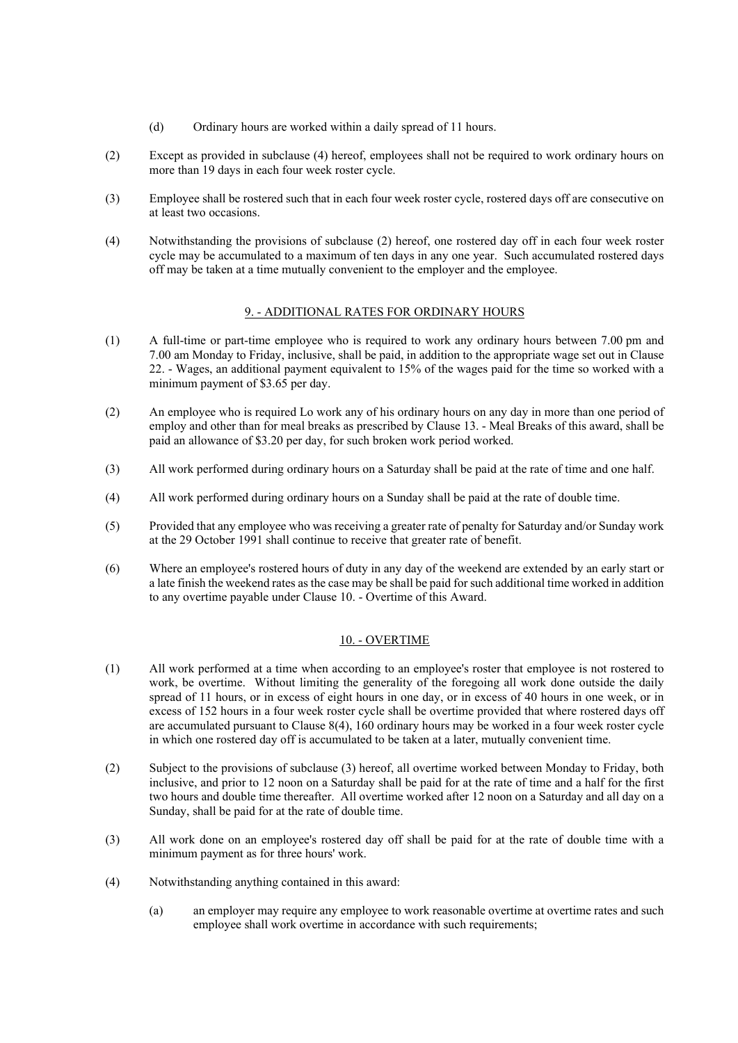- (d) Ordinary hours are worked within a daily spread of 11 hours.
- (2) Except as provided in subclause (4) hereof, employees shall not be required to work ordinary hours on more than 19 days in each four week roster cycle.
- (3) Employee shall be rostered such that in each four week roster cycle, rostered days off are consecutive on at least two occasions.
- (4) Notwithstanding the provisions of subclause (2) hereof, one rostered day off in each four week roster cycle may be accumulated to a maximum of ten days in any one year. Such accumulated rostered days off may be taken at a time mutually convenient to the employer and the employee.

## 9. - ADDITIONAL RATES FOR ORDINARY HOURS

- (1) A full-time or part-time employee who is required to work any ordinary hours between 7.00 pm and 7.00 am Monday to Friday, inclusive, shall be paid, in addition to the appropriate wage set out in Clause 22. - Wages, an additional payment equivalent to 15% of the wages paid for the time so worked with a minimum payment of \$3.65 per day.
- (2) An employee who is required Lo work any of his ordinary hours on any day in more than one period of employ and other than for meal breaks as prescribed by Clause 13. - Meal Breaks of this award, shall be paid an allowance of \$3.20 per day, for such broken work period worked.
- (3) All work performed during ordinary hours on a Saturday shall be paid at the rate of time and one half.
- (4) All work performed during ordinary hours on a Sunday shall be paid at the rate of double time.
- (5) Provided that any employee who was receiving a greater rate of penalty for Saturday and/or Sunday work at the 29 October 1991 shall continue to receive that greater rate of benefit.
- (6) Where an employee's rostered hours of duty in any day of the weekend are extended by an early start or a late finish the weekend rates as the case may be shall be paid for such additional time worked in addition to any overtime payable under Clause 10. - Overtime of this Award.

### 10. - OVERTIME

- (1) All work performed at a time when according to an employee's roster that employee is not rostered to work, be overtime. Without limiting the generality of the foregoing all work done outside the daily spread of 11 hours, or in excess of eight hours in one day, or in excess of 40 hours in one week, or in excess of 152 hours in a four week roster cycle shall be overtime provided that where rostered days off are accumulated pursuant to Clause 8(4), 160 ordinary hours may be worked in a four week roster cycle in which one rostered day off is accumulated to be taken at a later, mutually convenient time.
- (2) Subject to the provisions of subclause (3) hereof, all overtime worked between Monday to Friday, both inclusive, and prior to 12 noon on a Saturday shall be paid for at the rate of time and a half for the first two hours and double time thereafter. All overtime worked after 12 noon on a Saturday and all day on a Sunday, shall be paid for at the rate of double time.
- (3) All work done on an employee's rostered day off shall be paid for at the rate of double time with a minimum payment as for three hours' work.
- (4) Notwithstanding anything contained in this award:
	- (a) an employer may require any employee to work reasonable overtime at overtime rates and such employee shall work overtime in accordance with such requirements;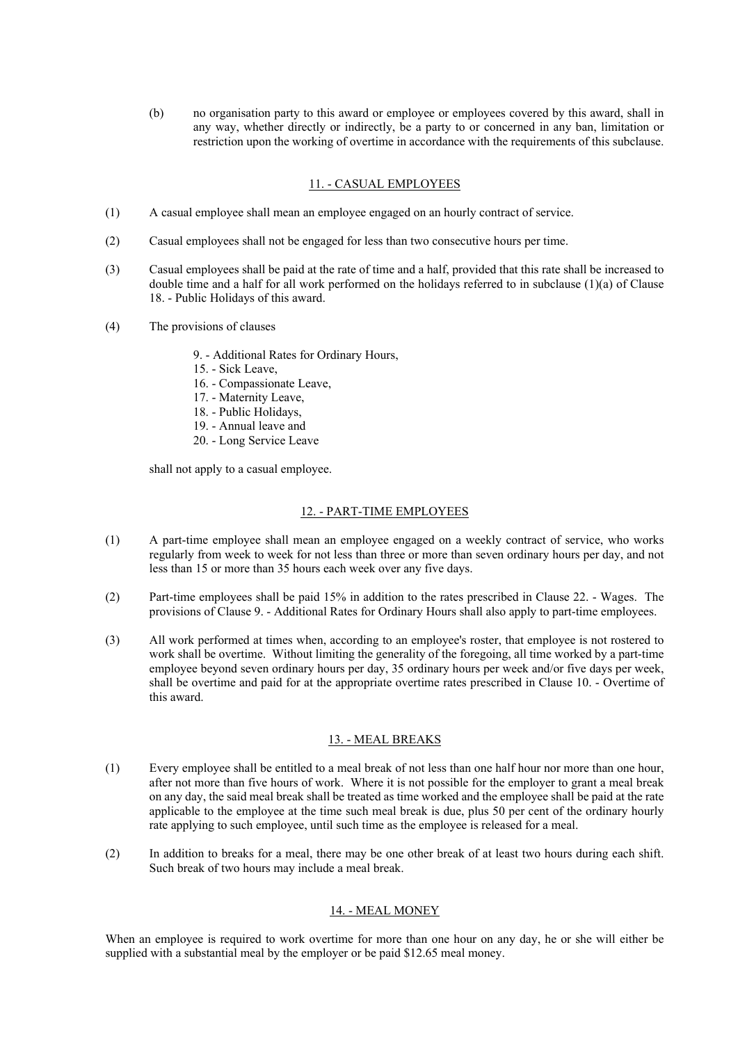(b) no organisation party to this award or employee or employees covered by this award, shall in any way, whether directly or indirectly, be a party to or concerned in any ban, limitation or restriction upon the working of overtime in accordance with the requirements of this subclause.

### 11. - CASUAL EMPLOYEES

- (1) A casual employee shall mean an employee engaged on an hourly contract of service.
- (2) Casual employees shall not be engaged for less than two consecutive hours per time.
- (3) Casual employees shall be paid at the rate of time and a half, provided that this rate shall be increased to double time and a half for all work performed on the holidays referred to in subclause (1)(a) of Clause 18. - Public Holidays of this award.
- (4) The provisions of clauses
	- 9. Additional Rates for Ordinary Hours,
	- 15. Sick Leave,
	- 16. Compassionate Leave,
	- 17. Maternity Leave,
	- 18. Public Holidays,
	- 19. Annual leave and
	- 20. Long Service Leave

shall not apply to a casual employee.

## 12. - PART-TIME EMPLOYEES

- (1) A part-time employee shall mean an employee engaged on a weekly contract of service, who works regularly from week to week for not less than three or more than seven ordinary hours per day, and not less than 15 or more than 35 hours each week over any five days.
- (2) Part-time employees shall be paid 15% in addition to the rates prescribed in Clause 22. Wages. The provisions of Clause 9. - Additional Rates for Ordinary Hours shall also apply to part-time employees.
- (3) All work performed at times when, according to an employee's roster, that employee is not rostered to work shall be overtime. Without limiting the generality of the foregoing, all time worked by a part-time employee beyond seven ordinary hours per day, 35 ordinary hours per week and/or five days per week, shall be overtime and paid for at the appropriate overtime rates prescribed in Clause 10. - Overtime of this award.

### 13. - MEAL BREAKS

- (1) Every employee shall be entitled to a meal break of not less than one half hour nor more than one hour, after not more than five hours of work. Where it is not possible for the employer to grant a meal break on any day, the said meal break shall be treated as time worked and the employee shall be paid at the rate applicable to the employee at the time such meal break is due, plus 50 per cent of the ordinary hourly rate applying to such employee, until such time as the employee is released for a meal.
- (2) In addition to breaks for a meal, there may be one other break of at least two hours during each shift. Such break of two hours may include a meal break.

## 14. - MEAL MONEY

When an employee is required to work overtime for more than one hour on any day, he or she will either be supplied with a substantial meal by the employer or be paid \$12.65 meal money.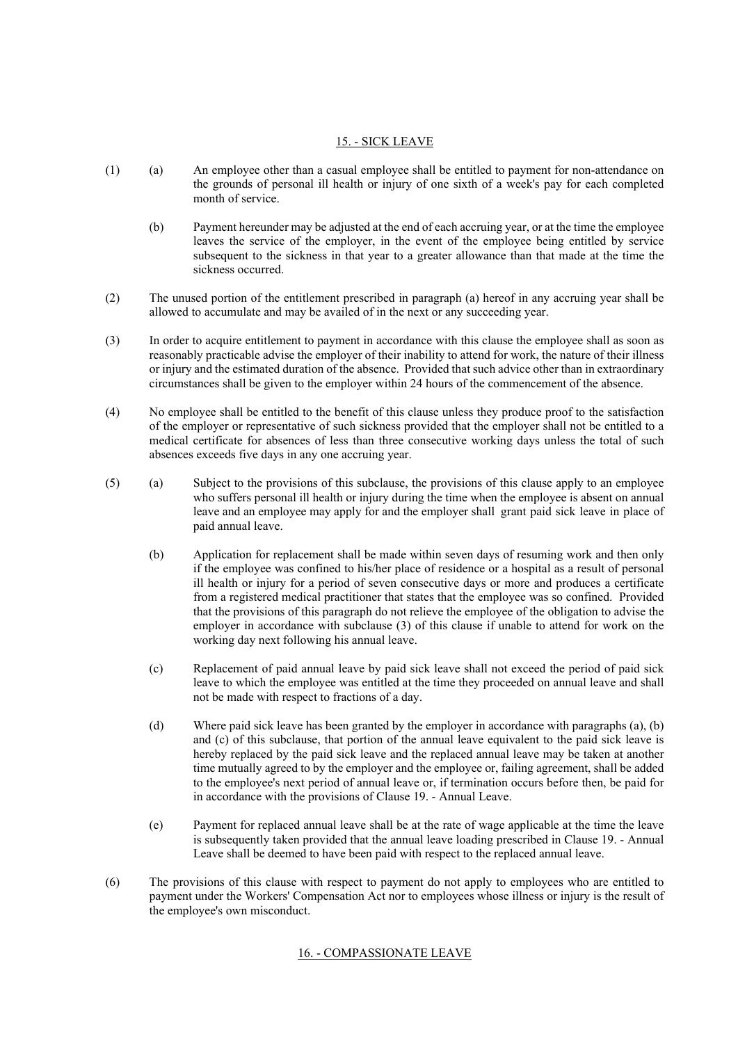## 15. - SICK LEAVE

- (1) (a) An employee other than a casual employee shall be entitled to payment for non-attendance on the grounds of personal ill health or injury of one sixth of a week's pay for each completed month of service.
	- (b) Payment hereunder may be adjusted at the end of each accruing year, or at the time the employee leaves the service of the employer, in the event of the employee being entitled by service subsequent to the sickness in that year to a greater allowance than that made at the time the sickness occurred.
- (2) The unused portion of the entitlement prescribed in paragraph (a) hereof in any accruing year shall be allowed to accumulate and may be availed of in the next or any succeeding year.
- (3) In order to acquire entitlement to payment in accordance with this clause the employee shall as soon as reasonably practicable advise the employer of their inability to attend for work, the nature of their illness or injury and the estimated duration of the absence. Provided that such advice other than in extraordinary circumstances shall be given to the employer within 24 hours of the commencement of the absence.
- (4) No employee shall be entitled to the benefit of this clause unless they produce proof to the satisfaction of the employer or representative of such sickness provided that the employer shall not be entitled to a medical certificate for absences of less than three consecutive working days unless the total of such absences exceeds five days in any one accruing year.
- (5) (a) Subject to the provisions of this subclause, the provisions of this clause apply to an employee who suffers personal ill health or injury during the time when the employee is absent on annual leave and an employee may apply for and the employer shall grant paid sick leave in place of paid annual leave.
	- (b) Application for replacement shall be made within seven days of resuming work and then only if the employee was confined to his/her place of residence or a hospital as a result of personal ill health or injury for a period of seven consecutive days or more and produces a certificate from a registered medical practitioner that states that the employee was so confined. Provided that the provisions of this paragraph do not relieve the employee of the obligation to advise the employer in accordance with subclause (3) of this clause if unable to attend for work on the working day next following his annual leave.
	- (c) Replacement of paid annual leave by paid sick leave shall not exceed the period of paid sick leave to which the employee was entitled at the time they proceeded on annual leave and shall not be made with respect to fractions of a day.
	- (d) Where paid sick leave has been granted by the employer in accordance with paragraphs (a), (b) and (c) of this subclause, that portion of the annual leave equivalent to the paid sick leave is hereby replaced by the paid sick leave and the replaced annual leave may be taken at another time mutually agreed to by the employer and the employee or, failing agreement, shall be added to the employee's next period of annual leave or, if termination occurs before then, be paid for in accordance with the provisions of Clause 19. - Annual Leave.
	- (e) Payment for replaced annual leave shall be at the rate of wage applicable at the time the leave is subsequently taken provided that the annual leave loading prescribed in Clause 19. - Annual Leave shall be deemed to have been paid with respect to the replaced annual leave.
- (6) The provisions of this clause with respect to payment do not apply to employees who are entitled to payment under the Workers' Compensation Act nor to employees whose illness or injury is the result of the employee's own misconduct.

## 16. - COMPASSIONATE LEAVE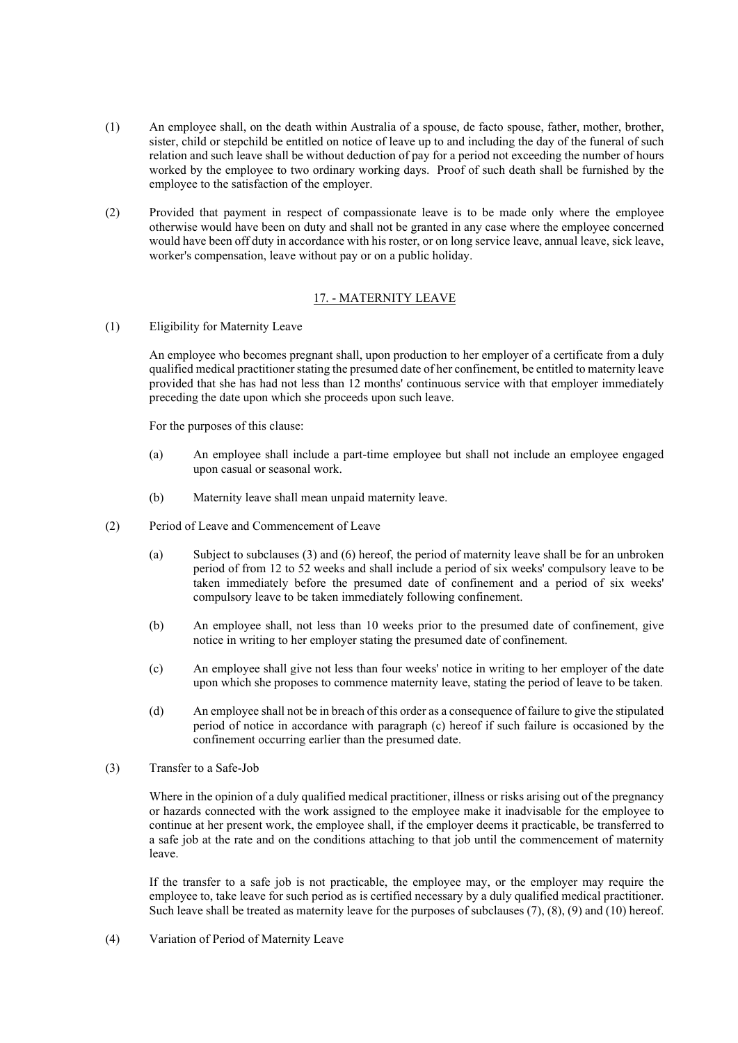- (1) An employee shall, on the death within Australia of a spouse, de facto spouse, father, mother, brother, sister, child or stepchild be entitled on notice of leave up to and including the day of the funeral of such relation and such leave shall be without deduction of pay for a period not exceeding the number of hours worked by the employee to two ordinary working days. Proof of such death shall be furnished by the employee to the satisfaction of the employer.
- (2) Provided that payment in respect of compassionate leave is to be made only where the employee otherwise would have been on duty and shall not be granted in any case where the employee concerned would have been off duty in accordance with his roster, or on long service leave, annual leave, sick leave, worker's compensation, leave without pay or on a public holiday.

## 17. - MATERNITY LEAVE

(1) Eligibility for Maternity Leave

An employee who becomes pregnant shall, upon production to her employer of a certificate from a duly qualified medical practitioner stating the presumed date of her confinement, be entitled to maternity leave provided that she has had not less than 12 months' continuous service with that employer immediately preceding the date upon which she proceeds upon such leave.

For the purposes of this clause:

- (a) An employee shall include a part-time employee but shall not include an employee engaged upon casual or seasonal work.
- (b) Maternity leave shall mean unpaid maternity leave.
- (2) Period of Leave and Commencement of Leave
	- (a) Subject to subclauses (3) and (6) hereof, the period of maternity leave shall be for an unbroken period of from 12 to 52 weeks and shall include a period of six weeks' compulsory leave to be taken immediately before the presumed date of confinement and a period of six weeks' compulsory leave to be taken immediately following confinement.
	- (b) An employee shall, not less than 10 weeks prior to the presumed date of confinement, give notice in writing to her employer stating the presumed date of confinement.
	- (c) An employee shall give not less than four weeks' notice in writing to her employer of the date upon which she proposes to commence maternity leave, stating the period of leave to be taken.
	- (d) An employee shall not be in breach of this order as a consequence of failure to give the stipulated period of notice in accordance with paragraph (c) hereof if such failure is occasioned by the confinement occurring earlier than the presumed date.
- (3) Transfer to a Safe-Job

Where in the opinion of a duly qualified medical practitioner, illness or risks arising out of the pregnancy or hazards connected with the work assigned to the employee make it inadvisable for the employee to continue at her present work, the employee shall, if the employer deems it practicable, be transferred to a safe job at the rate and on the conditions attaching to that job until the commencement of maternity leave.

If the transfer to a safe job is not practicable, the employee may, or the employer may require the employee to, take leave for such period as is certified necessary by a duly qualified medical practitioner. Such leave shall be treated as maternity leave for the purposes of subclauses (7), (8), (9) and (10) hereof.

(4) Variation of Period of Maternity Leave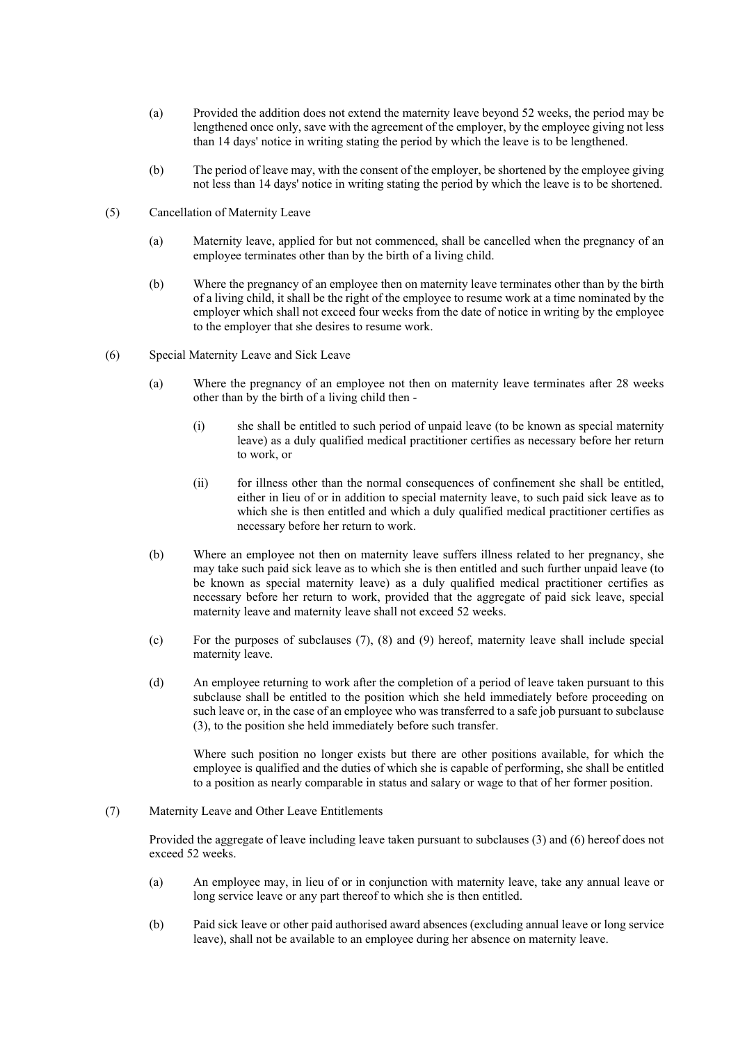- (a) Provided the addition does not extend the maternity leave beyond 52 weeks, the period may be lengthened once only, save with the agreement of the employer, by the employee giving not less than 14 days' notice in writing stating the period by which the leave is to be lengthened.
- (b) The period of leave may, with the consent of the employer, be shortened by the employee giving not less than 14 days' notice in writing stating the period by which the leave is to be shortened.
- (5) Cancellation of Maternity Leave
	- (a) Maternity leave, applied for but not commenced, shall be cancelled when the pregnancy of an employee terminates other than by the birth of a living child.
	- (b) Where the pregnancy of an employee then on maternity leave terminates other than by the birth of a living child, it shall be the right of the employee to resume work at a time nominated by the employer which shall not exceed four weeks from the date of notice in writing by the employee to the employer that she desires to resume work.
- (6) Special Maternity Leave and Sick Leave
	- (a) Where the pregnancy of an employee not then on maternity leave terminates after 28 weeks other than by the birth of a living child then -
		- (i) she shall be entitled to such period of unpaid leave (to be known as special maternity leave) as a duly qualified medical practitioner certifies as necessary before her return to work, or
		- (ii) for illness other than the normal consequences of confinement she shall be entitled, either in lieu of or in addition to special maternity leave, to such paid sick leave as to which she is then entitled and which a duly qualified medical practitioner certifies as necessary before her return to work.
	- (b) Where an employee not then on maternity leave suffers illness related to her pregnancy, she may take such paid sick leave as to which she is then entitled and such further unpaid leave (to be known as special maternity leave) as a duly qualified medical practitioner certifies as necessary before her return to work, provided that the aggregate of paid sick leave, special maternity leave and maternity leave shall not exceed 52 weeks.
	- (c) For the purposes of subclauses (7), (8) and (9) hereof, maternity leave shall include special maternity leave.
	- (d) An employee returning to work after the completion of a period of leave taken pursuant to this subclause shall be entitled to the position which she held immediately before proceeding on such leave or, in the case of an employee who was transferred to a safe job pursuant to subclause (3), to the position she held immediately before such transfer.

Where such position no longer exists but there are other positions available, for which the employee is qualified and the duties of which she is capable of performing, she shall be entitled to a position as nearly comparable in status and salary or wage to that of her former position.

(7) Maternity Leave and Other Leave Entitlements

Provided the aggregate of leave including leave taken pursuant to subclauses (3) and (6) hereof does not exceed 52 weeks.

- (a) An employee may, in lieu of or in conjunction with maternity leave, take any annual leave or long service leave or any part thereof to which she is then entitled.
- (b) Paid sick leave or other paid authorised award absences (excluding annual leave or long service leave), shall not be available to an employee during her absence on maternity leave.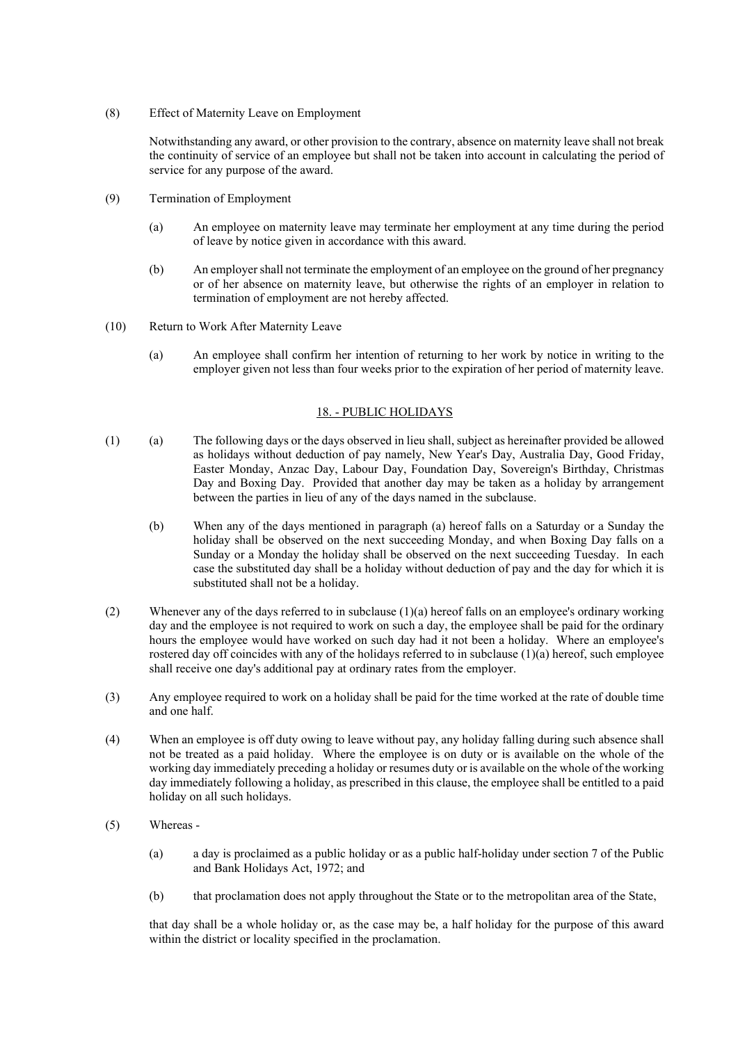(8) Effect of Maternity Leave on Employment

Notwithstanding any award, or other provision to the contrary, absence on maternity leave shall not break the continuity of service of an employee but shall not be taken into account in calculating the period of service for any purpose of the award.

- (9) Termination of Employment
	- (a) An employee on maternity leave may terminate her employment at any time during the period of leave by notice given in accordance with this award.
	- (b) An employer shall not terminate the employment of an employee on the ground of her pregnancy or of her absence on maternity leave, but otherwise the rights of an employer in relation to termination of employment are not hereby affected.
- (10) Return to Work After Maternity Leave
	- (a) An employee shall confirm her intention of returning to her work by notice in writing to the employer given not less than four weeks prior to the expiration of her period of maternity leave.

#### 18. - PUBLIC HOLIDAYS

- (1) (a) The following days or the days observed in lieu shall, subject as hereinafter provided be allowed as holidays without deduction of pay namely, New Year's Day, Australia Day, Good Friday, Easter Monday, Anzac Day, Labour Day, Foundation Day, Sovereign's Birthday, Christmas Day and Boxing Day. Provided that another day may be taken as a holiday by arrangement between the parties in lieu of any of the days named in the subclause.
	- (b) When any of the days mentioned in paragraph (a) hereof falls on a Saturday or a Sunday the holiday shall be observed on the next succeeding Monday, and when Boxing Day falls on a Sunday or a Monday the holiday shall be observed on the next succeeding Tuesday. In each case the substituted day shall be a holiday without deduction of pay and the day for which it is substituted shall not be a holiday.
- (2) Whenever any of the days referred to in subclause (1)(a) hereof falls on an employee's ordinary working day and the employee is not required to work on such a day, the employee shall be paid for the ordinary hours the employee would have worked on such day had it not been a holiday. Where an employee's rostered day off coincides with any of the holidays referred to in subclause  $(1)(a)$  hereof, such employee shall receive one day's additional pay at ordinary rates from the employer.
- (3) Any employee required to work on a holiday shall be paid for the time worked at the rate of double time and one half.
- (4) When an employee is off duty owing to leave without pay, any holiday falling during such absence shall not be treated as a paid holiday. Where the employee is on duty or is available on the whole of the working day immediately preceding a holiday or resumes duty or is available on the whole of the working day immediately following a holiday, as prescribed in this clause, the employee shall be entitled to a paid holiday on all such holidays.
- (5) Whereas
	- (a) a day is proclaimed as a public holiday or as a public half-holiday under section 7 of the Public and Bank Holidays Act, 1972; and
	- (b) that proclamation does not apply throughout the State or to the metropolitan area of the State,

that day shall be a whole holiday or, as the case may be, a half holiday for the purpose of this award within the district or locality specified in the proclamation.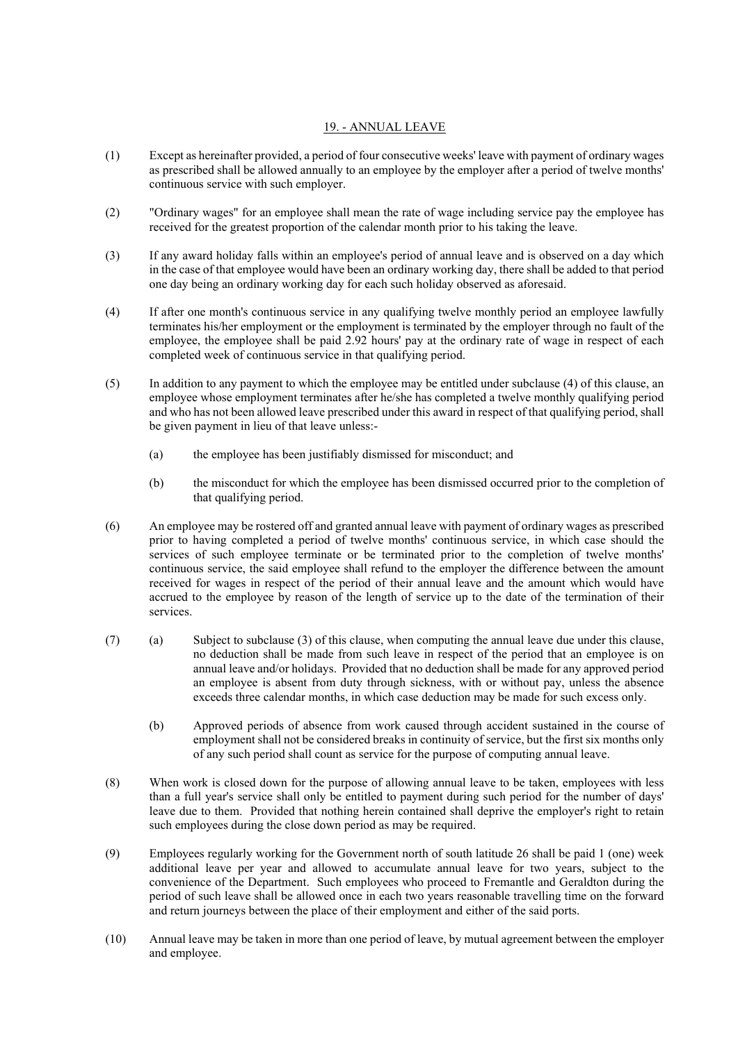## 19. - ANNUAL LEAVE

- (1) Except as hereinafter provided, a period of four consecutive weeks' leave with payment of ordinary wages as prescribed shall be allowed annually to an employee by the employer after a period of twelve months' continuous service with such employer.
- (2) "Ordinary wages" for an employee shall mean the rate of wage including service pay the employee has received for the greatest proportion of the calendar month prior to his taking the leave.
- (3) If any award holiday falls within an employee's period of annual leave and is observed on a day which in the case of that employee would have been an ordinary working day, there shall be added to that period one day being an ordinary working day for each such holiday observed as aforesaid.
- (4) If after one month's continuous service in any qualifying twelve monthly period an employee lawfully terminates his/her employment or the employment is terminated by the employer through no fault of the employee, the employee shall be paid 2.92 hours' pay at the ordinary rate of wage in respect of each completed week of continuous service in that qualifying period.
- (5) In addition to any payment to which the employee may be entitled under subclause (4) of this clause, an employee whose employment terminates after he/she has completed a twelve monthly qualifying period and who has not been allowed leave prescribed under this award in respect of that qualifying period, shall be given payment in lieu of that leave unless:-
	- (a) the employee has been justifiably dismissed for misconduct; and
	- (b) the misconduct for which the employee has been dismissed occurred prior to the completion of that qualifying period.
- (6) An employee may be rostered off and granted annual leave with payment of ordinary wages as prescribed prior to having completed a period of twelve months' continuous service, in which case should the services of such employee terminate or be terminated prior to the completion of twelve months' continuous service, the said employee shall refund to the employer the difference between the amount received for wages in respect of the period of their annual leave and the amount which would have accrued to the employee by reason of the length of service up to the date of the termination of their services.
- (7) (a) Subject to subclause (3) of this clause, when computing the annual leave due under this clause, no deduction shall be made from such leave in respect of the period that an employee is on annual leave and/or holidays. Provided that no deduction shall be made for any approved period an employee is absent from duty through sickness, with or without pay, unless the absence exceeds three calendar months, in which case deduction may be made for such excess only.
	- (b) Approved periods of absence from work caused through accident sustained in the course of employment shall not be considered breaks in continuity of service, but the first six months only of any such period shall count as service for the purpose of computing annual leave.
- (8) When work is closed down for the purpose of allowing annual leave to be taken, employees with less than a full year's service shall only be entitled to payment during such period for the number of days' leave due to them. Provided that nothing herein contained shall deprive the employer's right to retain such employees during the close down period as may be required.
- (9) Employees regularly working for the Government north of south latitude 26 shall be paid 1 (one) week additional leave per year and allowed to accumulate annual leave for two years, subject to the convenience of the Department. Such employees who proceed to Fremantle and Geraldton during the period of such leave shall be allowed once in each two years reasonable travelling time on the forward and return journeys between the place of their employment and either of the said ports.
- (10) Annual leave may be taken in more than one period of leave, by mutual agreement between the employer and employee.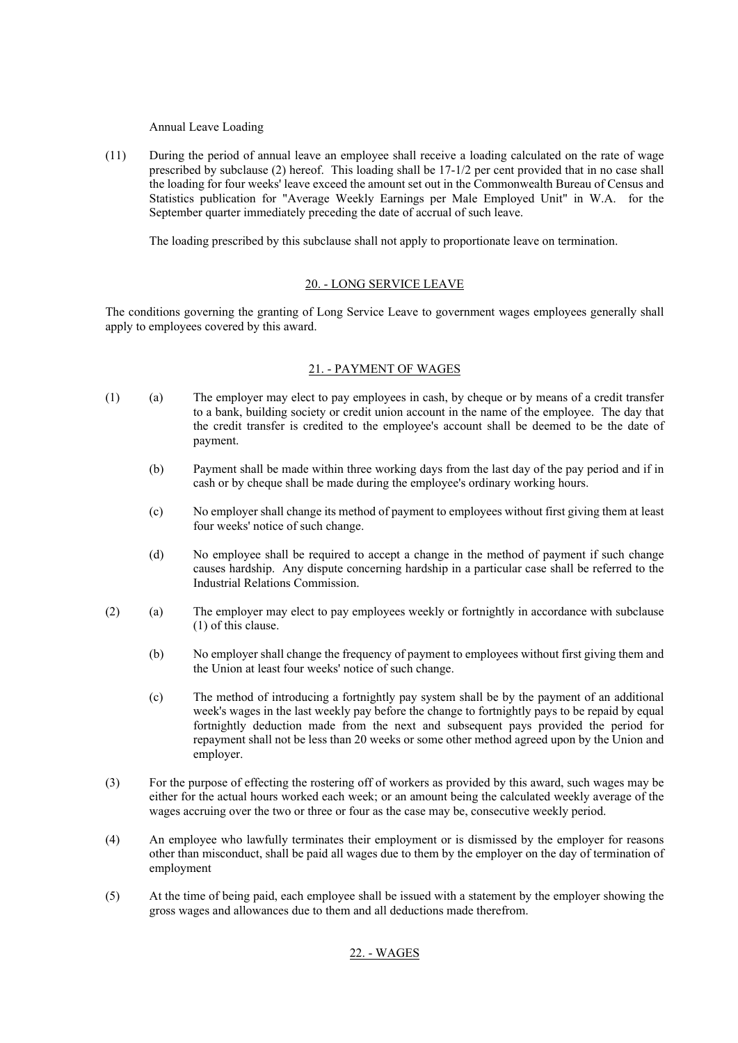Annual Leave Loading

(11) During the period of annual leave an employee shall receive a loading calculated on the rate of wage prescribed by subclause (2) hereof. This loading shall be 17-1/2 per cent provided that in no case shall the loading for four weeks' leave exceed the amount set out in the Commonwealth Bureau of Census and Statistics publication for "Average Weekly Earnings per Male Employed Unit" in W.A. for the September quarter immediately preceding the date of accrual of such leave.

The loading prescribed by this subclause shall not apply to proportionate leave on termination.

## 20. - LONG SERVICE LEAVE

The conditions governing the granting of Long Service Leave to government wages employees generally shall apply to employees covered by this award.

#### 21. - PAYMENT OF WAGES

- (1) (a) The employer may elect to pay employees in cash, by cheque or by means of a credit transfer to a bank, building society or credit union account in the name of the employee. The day that the credit transfer is credited to the employee's account shall be deemed to be the date of payment.
	- (b) Payment shall be made within three working days from the last day of the pay period and if in cash or by cheque shall be made during the employee's ordinary working hours.
	- (c) No employer shall change its method of payment to employees without first giving them at least four weeks' notice of such change.
	- (d) No employee shall be required to accept a change in the method of payment if such change causes hardship. Any dispute concerning hardship in a particular case shall be referred to the Industrial Relations Commission.
- (2) (a) The employer may elect to pay employees weekly or fortnightly in accordance with subclause (1) of this clause.
	- (b) No employer shall change the frequency of payment to employees without first giving them and the Union at least four weeks' notice of such change.
	- (c) The method of introducing a fortnightly pay system shall be by the payment of an additional week's wages in the last weekly pay before the change to fortnightly pays to be repaid by equal fortnightly deduction made from the next and subsequent pays provided the period for repayment shall not be less than 20 weeks or some other method agreed upon by the Union and employer.
- (3) For the purpose of effecting the rostering off of workers as provided by this award, such wages may be either for the actual hours worked each week; or an amount being the calculated weekly average of the wages accruing over the two or three or four as the case may be, consecutive weekly period.
- (4) An employee who lawfully terminates their employment or is dismissed by the employer for reasons other than misconduct, shall be paid all wages due to them by the employer on the day of termination of employment
- (5) At the time of being paid, each employee shall be issued with a statement by the employer showing the gross wages and allowances due to them and all deductions made therefrom.

## 22. - WAGES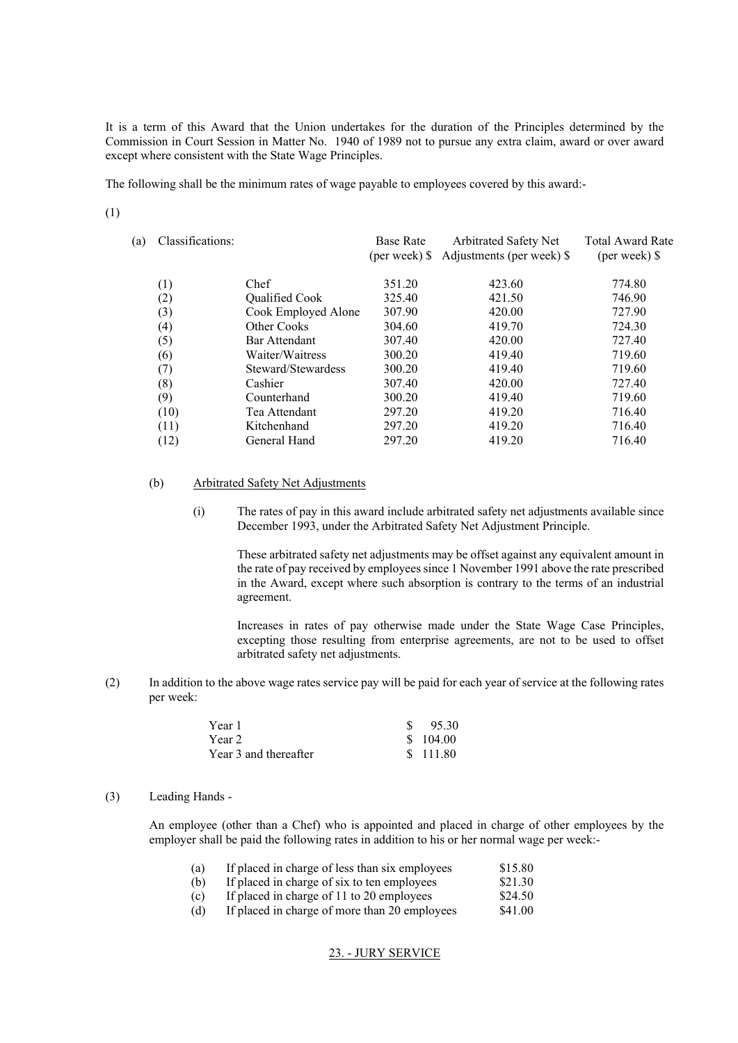It is a term of this Award that the Union undertakes for the duration of the Principles determined by the Commission in Court Session in Matter No. 1940 of 1989 not to pursue any extra claim, award or over award except where consistent with the State Wage Principles.

The following shall be the minimum rates of wage payable to employees covered by this award:-

(1)

| (a) | Classifications: |                     | <b>Base Rate</b><br>$(per week)$ \$ | <b>Arbitrated Safety Net</b><br>Adjustments (per week) \$ | <b>Total Award Rate</b><br>$(per week)$ \$ |
|-----|------------------|---------------------|-------------------------------------|-----------------------------------------------------------|--------------------------------------------|
|     | $\left(1\right)$ | Chef                | 351.20                              | 423.60                                                    | 774.80                                     |
|     | (2)              | Qualified Cook      | 325.40                              | 421.50                                                    | 746.90                                     |
|     | (3)              | Cook Employed Alone | 307.90                              | 420.00                                                    | 727.90                                     |
|     | (4)              | Other Cooks         | 304.60                              | 419.70                                                    | 724.30                                     |
|     | (5)              | Bar Attendant       | 307.40                              | 420.00                                                    | 727.40                                     |
|     | (6)              | Waiter/Waitress     | 300.20                              | 419.40                                                    | 719.60                                     |
|     | (7)              | Steward/Stewardess  | 300.20                              | 419.40                                                    | 719.60                                     |
|     | (8)              | Cashier             | 307.40                              | 420.00                                                    | 727.40                                     |
|     | (9)              | Counterhand         | 300.20                              | 419.40                                                    | 719.60                                     |
|     | (10)             | Tea Attendant       | 297.20                              | 419.20                                                    | 716.40                                     |
|     | (11)             | Kitchenhand         | 297.20                              | 419.20                                                    | 716.40                                     |
|     | (12)             | General Hand        | 297.20                              | 419.20                                                    | 716.40                                     |
|     |                  |                     |                                     |                                                           |                                            |

### (b) Arbitrated Safety Net Adjustments

(i) The rates of pay in this award include arbitrated safety net adjustments available since December 1993, under the Arbitrated Safety Net Adjustment Principle.

These arbitrated safety net adjustments may be offset against any equivalent amount in the rate of pay received by employees since 1 November 1991 above the rate prescribed in the Award, except where such absorption is contrary to the terms of an industrial agreement.

Increases in rates of pay otherwise made under the State Wage Case Principles, excepting those resulting from enterprise agreements, are not to be used to offset arbitrated safety net adjustments.

(2) In addition to the above wage rates service pay will be paid for each year of service at the following rates per week:

| Year 1                | 95.30    |
|-----------------------|----------|
| Year 2                | \$104.00 |
| Year 3 and thereafter | \$111.80 |

#### (3) Leading Hands -

An employee (other than a Chef) who is appointed and placed in charge of other employees by the employer shall be paid the following rates in addition to his or her normal wage per week:-

| (a)  | If placed in charge of less than six employees   | \$15.80       |
|------|--------------------------------------------------|---------------|
| (b)  | If placed in charge of six to ten employees      | \$21.30       |
| (c)  | If placed in charge of 11 to 20 employees        | \$24.50       |
| 7.JX | If also al in chance of means then 20 counterios | $0.11 \Omega$ |

(d) If placed in charge of more than 20 employees \$41.00

## 23. - JURY SERVICE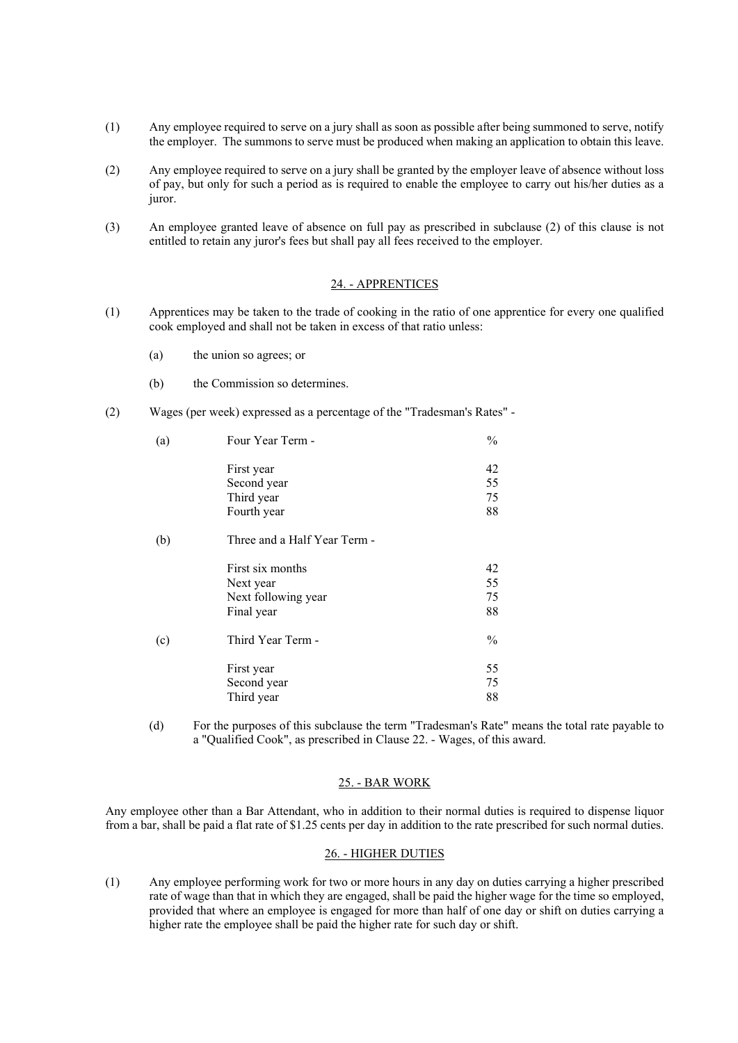- (1) Any employee required to serve on a jury shall as soon as possible after being summoned to serve, notify the employer. The summons to serve must be produced when making an application to obtain this leave.
- (2) Any employee required to serve on a jury shall be granted by the employer leave of absence without loss of pay, but only for such a period as is required to enable the employee to carry out his/her duties as a juror.
- (3) An employee granted leave of absence on full pay as prescribed in subclause (2) of this clause is not entitled to retain any juror's fees but shall pay all fees received to the employer.

#### 24. - APPRENTICES

- (1) Apprentices may be taken to the trade of cooking in the ratio of one apprentice for every one qualified cook employed and shall not be taken in excess of that ratio unless:
	- (a) the union so agrees; or
	- (b) the Commission so determines.
- (2) Wages (per week) expressed as a percentage of the "Tradesman's Rates" -

| Four Year Term -             | $\frac{0}{0}$ |
|------------------------------|---------------|
| First year                   | 42            |
| Second year                  | 55            |
| Third year                   | 75            |
| Fourth year                  | 88            |
| Three and a Half Year Term - |               |
| First six months             | 42            |
| Next year                    | 55            |
| Next following year          | 75            |
| Final year                   | 88            |
| Third Year Term -            | $\frac{0}{0}$ |
| First year                   | 55            |
| Second year                  | 75            |
| Third year                   | 88            |
|                              |               |

(d) For the purposes of this subclause the term "Tradesman's Rate" means the total rate payable to a "Qualified Cook", as prescribed in Clause 22. - Wages, of this award.

## 25. - BAR WORK

Any employee other than a Bar Attendant, who in addition to their normal duties is required to dispense liquor from a bar, shall be paid a flat rate of \$1.25 cents per day in addition to the rate prescribed for such normal duties.

#### 26. - HIGHER DUTIES

(1) Any employee performing work for two or more hours in any day on duties carrying a higher prescribed rate of wage than that in which they are engaged, shall be paid the higher wage for the time so employed, provided that where an employee is engaged for more than half of one day or shift on duties carrying a higher rate the employee shall be paid the higher rate for such day or shift.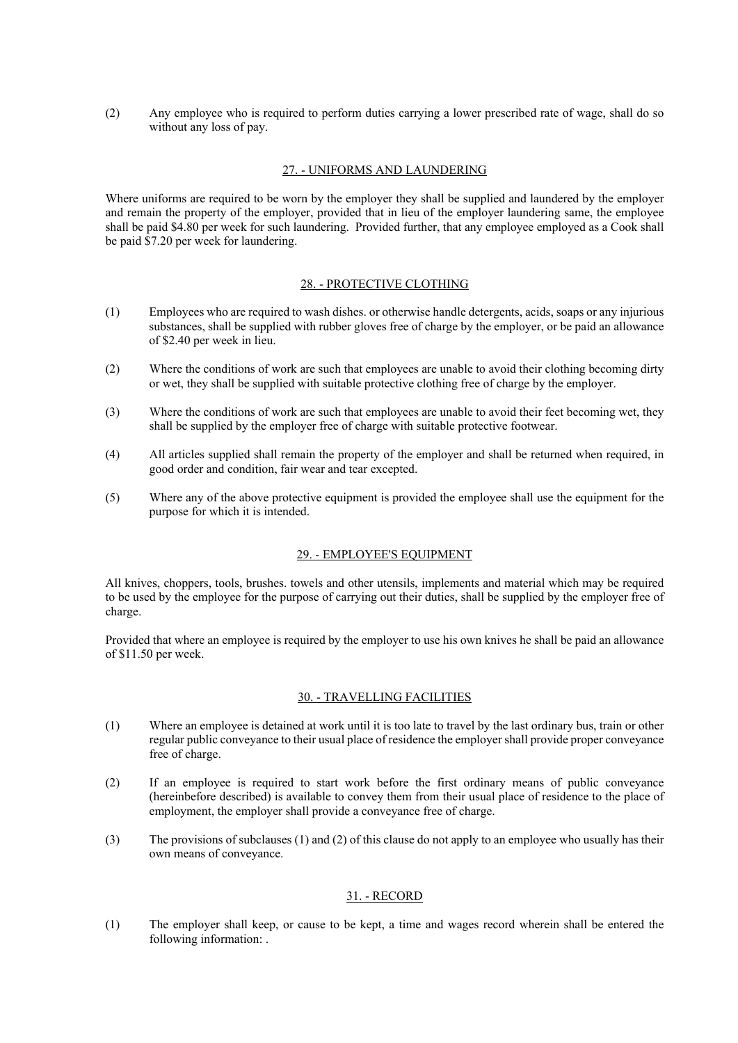(2) Any employee who is required to perform duties carrying a lower prescribed rate of wage, shall do so without any loss of pay.

## 27. - UNIFORMS AND LAUNDERING

Where uniforms are required to be worn by the employer they shall be supplied and laundered by the employer and remain the property of the employer, provided that in lieu of the employer laundering same, the employee shall be paid \$4.80 per week for such laundering. Provided further, that any employee employed as a Cook shall be paid \$7.20 per week for laundering.

### 28. - PROTECTIVE CLOTHING

- (1) Employees who are required to wash dishes. or otherwise handle detergents, acids, soaps or any injurious substances, shall be supplied with rubber gloves free of charge by the employer, or be paid an allowance of \$2.40 per week in lieu.
- (2) Where the conditions of work are such that employees are unable to avoid their clothing becoming dirty or wet, they shall be supplied with suitable protective clothing free of charge by the employer.
- (3) Where the conditions of work are such that employees are unable to avoid their feet becoming wet, they shall be supplied by the employer free of charge with suitable protective footwear.
- (4) All articles supplied shall remain the property of the employer and shall be returned when required, in good order and condition, fair wear and tear excepted.
- (5) Where any of the above protective equipment is provided the employee shall use the equipment for the purpose for which it is intended.

### 29. - EMPLOYEE'S EQUIPMENT

All knives, choppers, tools, brushes. towels and other utensils, implements and material which may be required to be used by the employee for the purpose of carrying out their duties, shall be supplied by the employer free of charge.

Provided that where an employee is required by the employer to use his own knives he shall be paid an allowance of \$11.50 per week.

#### 30. - TRAVELLING FACILITIES

- (1) Where an employee is detained at work until it is too late to travel by the last ordinary bus, train or other regular public conveyance to their usual place of residence the employer shall provide proper conveyance free of charge.
- (2) If an employee is required to start work before the first ordinary means of public conveyance (hereinbefore described) is available to convey them from their usual place of residence to the place of employment, the employer shall provide a conveyance free of charge.
- (3) The provisions of subclauses (1) and (2) of this clause do not apply to an employee who usually has their own means of conveyance.

### 31. - RECORD

(1) The employer shall keep, or cause to be kept, a time and wages record wherein shall be entered the following information: .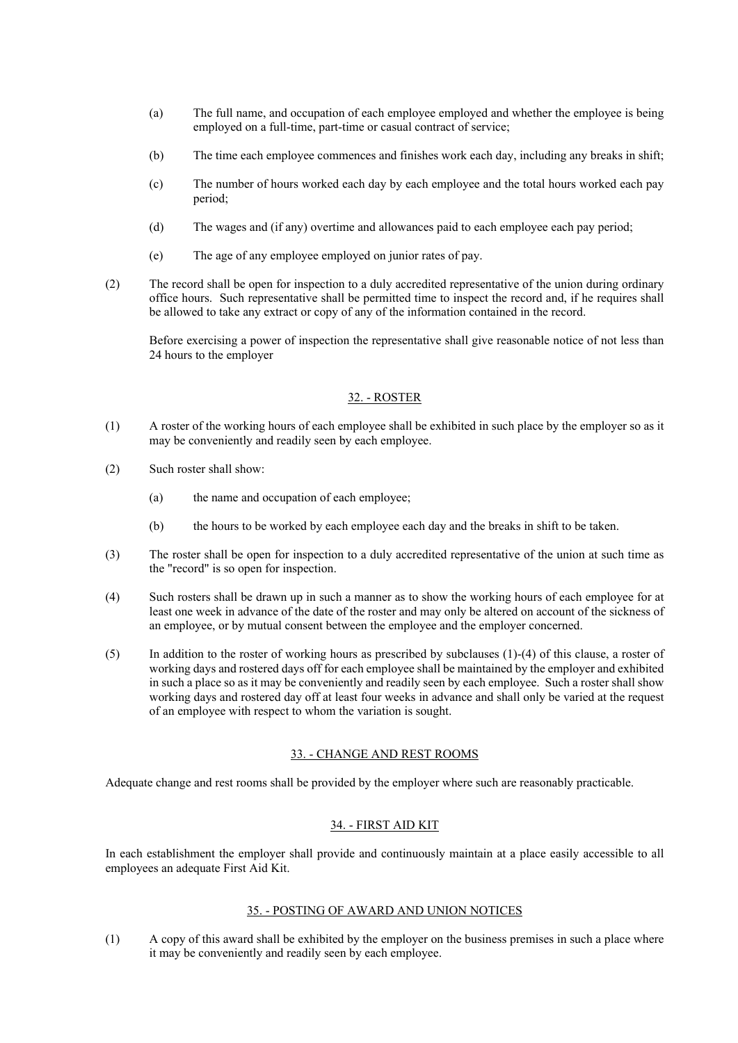- (a) The full name, and occupation of each employee employed and whether the employee is being employed on a full-time, part-time or casual contract of service;
- (b) The time each employee commences and finishes work each day, including any breaks in shift;
- (c) The number of hours worked each day by each employee and the total hours worked each pay period;
- (d) The wages and (if any) overtime and allowances paid to each employee each pay period;
- (e) The age of any employee employed on junior rates of pay.
- (2) The record shall be open for inspection to a duly accredited representative of the union during ordinary office hours. Such representative shall be permitted time to inspect the record and, if he requires shall be allowed to take any extract or copy of any of the information contained in the record.

Before exercising a power of inspection the representative shall give reasonable notice of not less than 24 hours to the employer

#### 32. - ROSTER

- (1) A roster of the working hours of each employee shall be exhibited in such place by the employer so as it may be conveniently and readily seen by each employee.
- (2) Such roster shall show:
	- (a) the name and occupation of each employee;
	- (b) the hours to be worked by each employee each day and the breaks in shift to be taken.
- (3) The roster shall be open for inspection to a duly accredited representative of the union at such time as the "record" is so open for inspection.
- (4) Such rosters shall be drawn up in such a manner as to show the working hours of each employee for at least one week in advance of the date of the roster and may only be altered on account of the sickness of an employee, or by mutual consent between the employee and the employer concerned.
- (5) In addition to the roster of working hours as prescribed by subclauses (1)-(4) of this clause, a roster of working days and rostered days off for each employee shall be maintained by the employer and exhibited in such a place so as it may be conveniently and readily seen by each employee. Such a roster shall show working days and rostered day off at least four weeks in advance and shall only be varied at the request of an employee with respect to whom the variation is sought.

### 33. - CHANGE AND REST ROOMS

Adequate change and rest rooms shall be provided by the employer where such are reasonably practicable.

### 34. - FIRST AID KIT

In each establishment the employer shall provide and continuously maintain at a place easily accessible to all employees an adequate First Aid Kit.

#### 35. - POSTING OF AWARD AND UNION NOTICES

(1) A copy of this award shall be exhibited by the employer on the business premises in such a place where it may be conveniently and readily seen by each employee.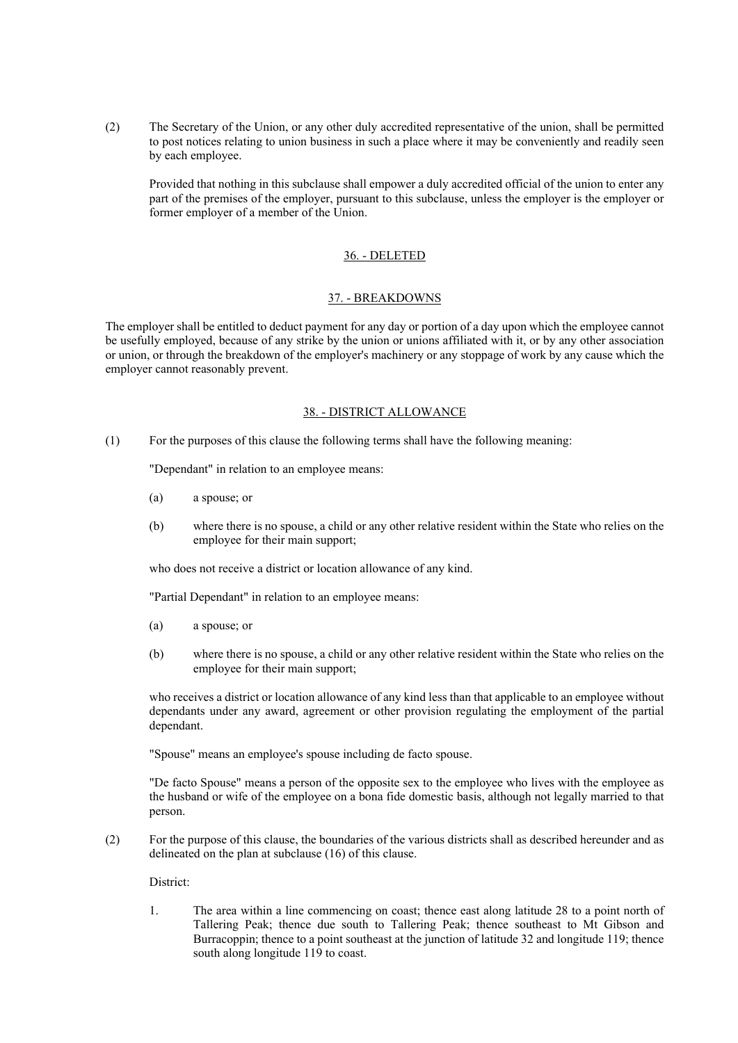(2) The Secretary of the Union, or any other duly accredited representative of the union, shall be permitted to post notices relating to union business in such a place where it may be conveniently and readily seen by each employee.

Provided that nothing in this subclause shall empower a duly accredited official of the union to enter any part of the premises of the employer, pursuant to this subclause, unless the employer is the employer or former employer of a member of the Union.

#### 36. - DELETED

#### 37. - BREAKDOWNS

The employer shall be entitled to deduct payment for any day or portion of a day upon which the employee cannot be usefully employed, because of any strike by the union or unions affiliated with it, or by any other association or union, or through the breakdown of the employer's machinery or any stoppage of work by any cause which the employer cannot reasonably prevent.

#### 38. - DISTRICT ALLOWANCE

(1) For the purposes of this clause the following terms shall have the following meaning:

"Dependant" in relation to an employee means:

- (a) a spouse; or
- (b) where there is no spouse, a child or any other relative resident within the State who relies on the employee for their main support;

who does not receive a district or location allowance of any kind.

"Partial Dependant" in relation to an employee means:

- (a) a spouse; or
- (b) where there is no spouse, a child or any other relative resident within the State who relies on the employee for their main support;

who receives a district or location allowance of any kind less than that applicable to an employee without dependants under any award, agreement or other provision regulating the employment of the partial dependant.

"Spouse" means an employee's spouse including de facto spouse.

"De facto Spouse" means a person of the opposite sex to the employee who lives with the employee as the husband or wife of the employee on a bona fide domestic basis, although not legally married to that person.

(2) For the purpose of this clause, the boundaries of the various districts shall as described hereunder and as delineated on the plan at subclause (16) of this clause.

District:

1. The area within a line commencing on coast; thence east along latitude 28 to a point north of Tallering Peak; thence due south to Tallering Peak; thence southeast to Mt Gibson and Burracoppin; thence to a point southeast at the junction of latitude 32 and longitude 119; thence south along longitude 119 to coast.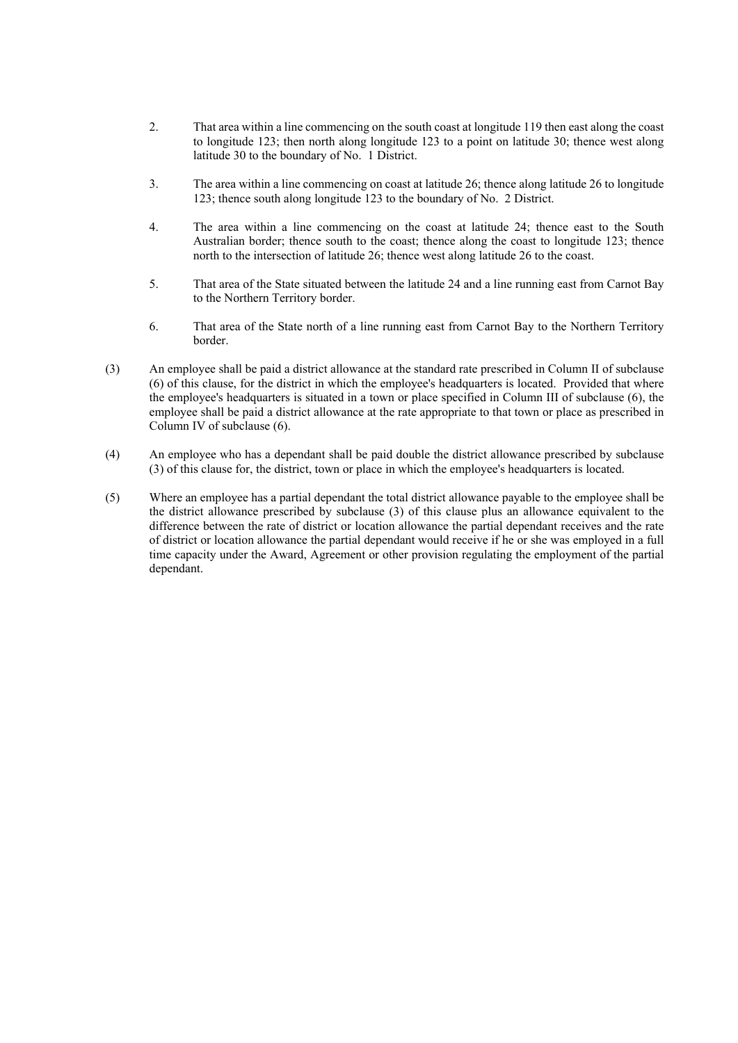- 2. That area within a line commencing on the south coast at longitude 119 then east along the coast to longitude 123; then north along longitude 123 to a point on latitude 30; thence west along latitude 30 to the boundary of No. 1 District.
- 3. The area within a line commencing on coast at latitude 26; thence along latitude 26 to longitude 123; thence south along longitude 123 to the boundary of No. 2 District.
- 4. The area within a line commencing on the coast at latitude 24; thence east to the South Australian border; thence south to the coast; thence along the coast to longitude 123; thence north to the intersection of latitude 26; thence west along latitude 26 to the coast.
- 5. That area of the State situated between the latitude 24 and a line running east from Carnot Bay to the Northern Territory border.
- 6. That area of the State north of a line running east from Carnot Bay to the Northern Territory border.
- (3) An employee shall be paid a district allowance at the standard rate prescribed in Column II of subclause (6) of this clause, for the district in which the employee's headquarters is located. Provided that where the employee's headquarters is situated in a town or place specified in Column III of subclause (6), the employee shall be paid a district allowance at the rate appropriate to that town or place as prescribed in Column IV of subclause (6).
- (4) An employee who has a dependant shall be paid double the district allowance prescribed by subclause (3) of this clause for, the district, town or place in which the employee's headquarters is located.
- (5) Where an employee has a partial dependant the total district allowance payable to the employee shall be the district allowance prescribed by subclause (3) of this clause plus an allowance equivalent to the difference between the rate of district or location allowance the partial dependant receives and the rate of district or location allowance the partial dependant would receive if he or she was employed in a full time capacity under the Award, Agreement or other provision regulating the employment of the partial dependant.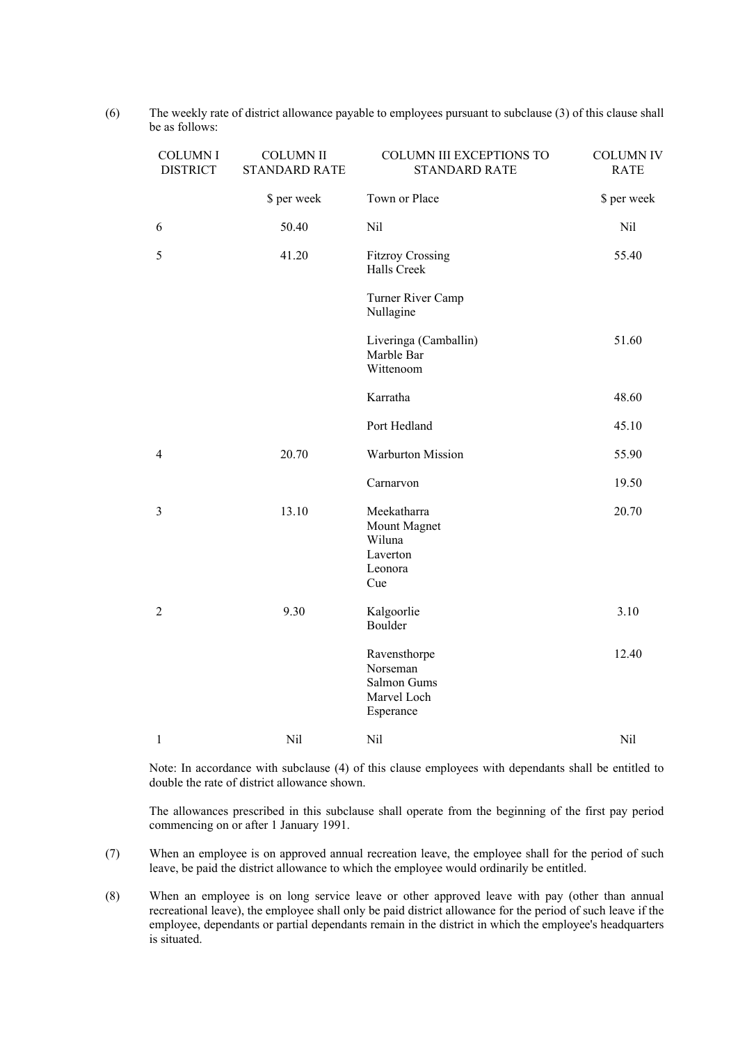| <b>COLUMNI</b><br><b>DISTRICT</b> | <b>COLUMN II</b><br><b>STANDARD RATE</b> | COLUMN III EXCEPTIONS TO<br><b>STANDARD RATE</b>                    | <b>COLUMN IV</b><br><b>RATE</b> |
|-----------------------------------|------------------------------------------|---------------------------------------------------------------------|---------------------------------|
|                                   | \$ per week                              | Town or Place                                                       | \$ per week                     |
| 6                                 | 50.40                                    | Nil                                                                 | Nil                             |
| 5                                 | 41.20                                    | <b>Fitzroy Crossing</b><br>Halls Creek                              | 55.40                           |
|                                   |                                          | Turner River Camp<br>Nullagine                                      |                                 |
|                                   |                                          | Liveringa (Camballin)<br>Marble Bar<br>Wittenoom                    | 51.60                           |
|                                   |                                          | Karratha                                                            | 48.60                           |
|                                   |                                          | Port Hedland                                                        | 45.10                           |
| $\overline{4}$                    | 20.70                                    | <b>Warburton Mission</b>                                            | 55.90                           |
|                                   |                                          | Carnarvon                                                           | 19.50                           |
| $\mathfrak{Z}$                    | 13.10                                    | Meekatharra<br>Mount Magnet<br>Wiluna<br>Laverton<br>Leonora<br>Cue | 20.70                           |
| $\overline{2}$                    | 9.30                                     | Kalgoorlie<br>Boulder                                               | 3.10                            |
|                                   |                                          | Ravensthorpe<br>Norseman<br>Salmon Gums<br>Marvel Loch<br>Esperance | 12.40                           |
| $\mathbf{1}$                      | Nil                                      | Nil                                                                 | Nil                             |

(6) The weekly rate of district allowance payable to employees pursuant to subclause (3) of this clause shall be as follows:

Note: In accordance with subclause (4) of this clause employees with dependants shall be entitled to double the rate of district allowance shown.

The allowances prescribed in this subclause shall operate from the beginning of the first pay period commencing on or after 1 January 1991.

- (7) When an employee is on approved annual recreation leave, the employee shall for the period of such leave, be paid the district allowance to which the employee would ordinarily be entitled.
- (8) When an employee is on long service leave or other approved leave with pay (other than annual recreational leave), the employee shall only be paid district allowance for the period of such leave if the employee, dependants or partial dependants remain in the district in which the employee's headquarters is situated.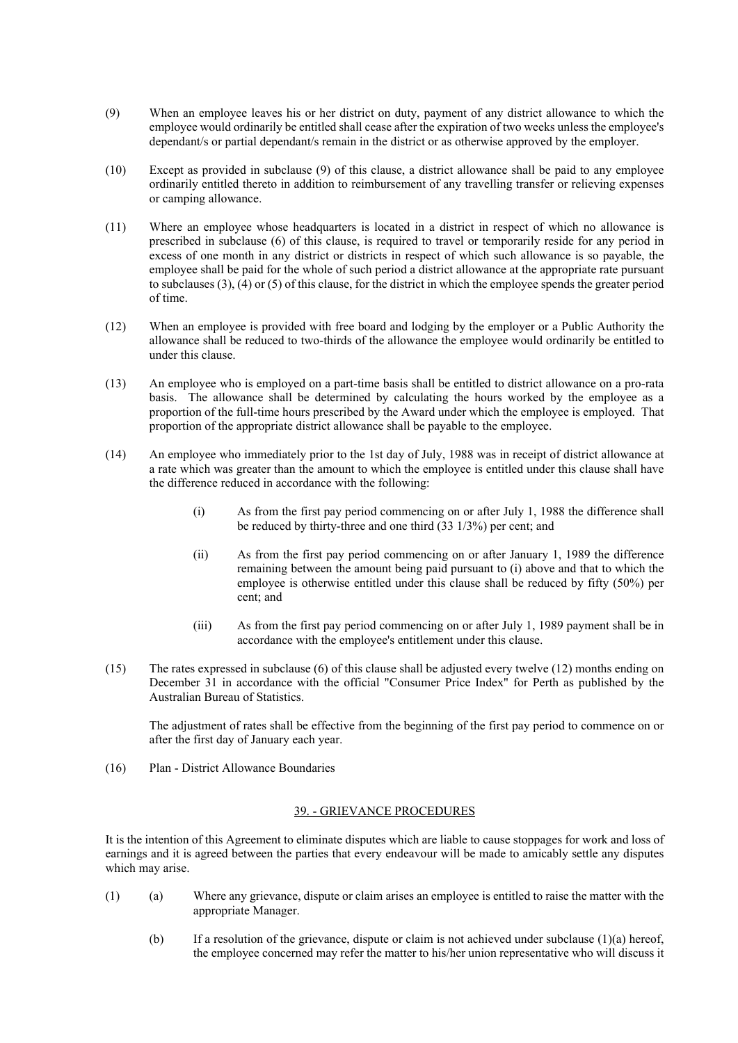- (9) When an employee leaves his or her district on duty, payment of any district allowance to which the employee would ordinarily be entitled shall cease after the expiration of two weeks unless the employee's dependant/s or partial dependant/s remain in the district or as otherwise approved by the employer.
- (10) Except as provided in subclause (9) of this clause, a district allowance shall be paid to any employee ordinarily entitled thereto in addition to reimbursement of any travelling transfer or relieving expenses or camping allowance.
- (11) Where an employee whose headquarters is located in a district in respect of which no allowance is prescribed in subclause (6) of this clause, is required to travel or temporarily reside for any period in excess of one month in any district or districts in respect of which such allowance is so payable, the employee shall be paid for the whole of such period a district allowance at the appropriate rate pursuant to subclauses (3), (4) or (5) of this clause, for the district in which the employee spends the greater period of time.
- (12) When an employee is provided with free board and lodging by the employer or a Public Authority the allowance shall be reduced to two-thirds of the allowance the employee would ordinarily be entitled to under this clause.
- (13) An employee who is employed on a part-time basis shall be entitled to district allowance on a pro-rata basis. The allowance shall be determined by calculating the hours worked by the employee as a proportion of the full-time hours prescribed by the Award under which the employee is employed. That proportion of the appropriate district allowance shall be payable to the employee.
- (14) An employee who immediately prior to the 1st day of July, 1988 was in receipt of district allowance at a rate which was greater than the amount to which the employee is entitled under this clause shall have the difference reduced in accordance with the following:
	- (i) As from the first pay period commencing on or after July 1, 1988 the difference shall be reduced by thirty-three and one third (33 1/3%) per cent; and
	- (ii) As from the first pay period commencing on or after January 1, 1989 the difference remaining between the amount being paid pursuant to (i) above and that to which the employee is otherwise entitled under this clause shall be reduced by fifty (50%) per cent; and
	- (iii) As from the first pay period commencing on or after July 1, 1989 payment shall be in accordance with the employee's entitlement under this clause.
- (15) The rates expressed in subclause (6) of this clause shall be adjusted every twelve (12) months ending on December 31 in accordance with the official "Consumer Price Index" for Perth as published by the Australian Bureau of Statistics.

The adjustment of rates shall be effective from the beginning of the first pay period to commence on or after the first day of January each year.

(16) Plan - District Allowance Boundaries

## 39. - GRIEVANCE PROCEDURES

It is the intention of this Agreement to eliminate disputes which are liable to cause stoppages for work and loss of earnings and it is agreed between the parties that every endeavour will be made to amicably settle any disputes which may arise.

- (1) (a) Where any grievance, dispute or claim arises an employee is entitled to raise the matter with the appropriate Manager.
	- (b) If a resolution of the grievance, dispute or claim is not achieved under subclause (1)(a) hereof, the employee concerned may refer the matter to his/her union representative who will discuss it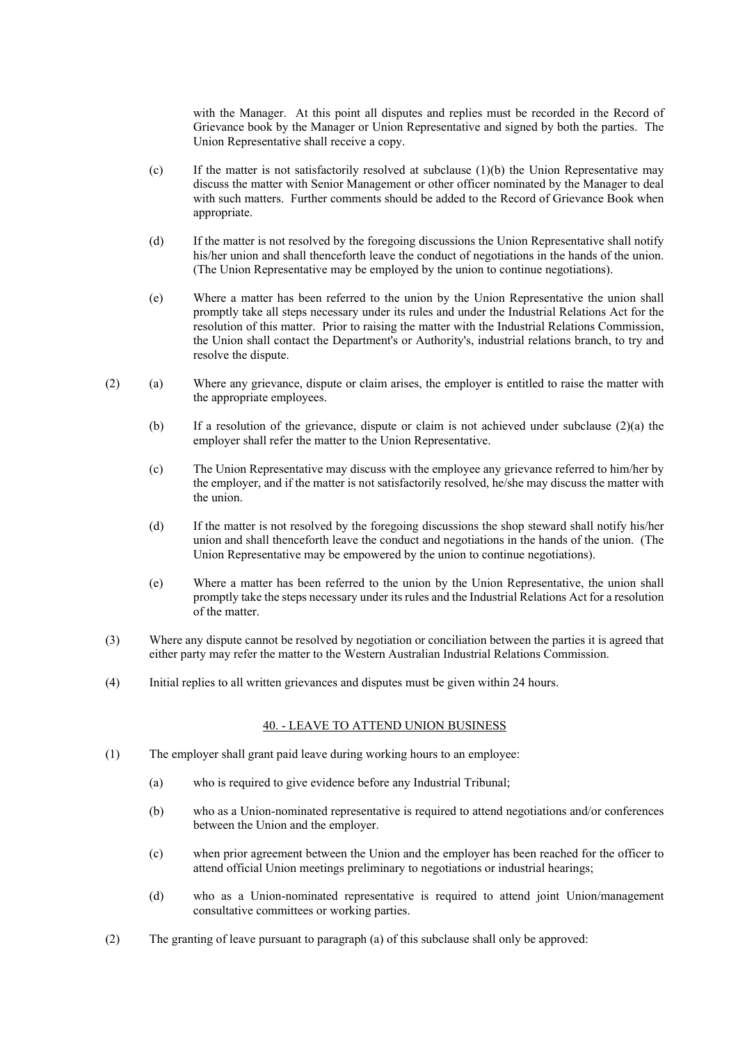with the Manager. At this point all disputes and replies must be recorded in the Record of Grievance book by the Manager or Union Representative and signed by both the parties. The Union Representative shall receive a copy.

- (c) If the matter is not satisfactorily resolved at subclause  $(1)(b)$  the Union Representative may discuss the matter with Senior Management or other officer nominated by the Manager to deal with such matters. Further comments should be added to the Record of Grievance Book when appropriate.
- (d) If the matter is not resolved by the foregoing discussions the Union Representative shall notify his/her union and shall thenceforth leave the conduct of negotiations in the hands of the union. (The Union Representative may be employed by the union to continue negotiations).
- (e) Where a matter has been referred to the union by the Union Representative the union shall promptly take all steps necessary under its rules and under the Industrial Relations Act for the resolution of this matter. Prior to raising the matter with the Industrial Relations Commission, the Union shall contact the Department's or Authority's, industrial relations branch, to try and resolve the dispute.
- (2) (a) Where any grievance, dispute or claim arises, the employer is entitled to raise the matter with the appropriate employees.
	- (b) If a resolution of the grievance, dispute or claim is not achieved under subclause (2)(a) the employer shall refer the matter to the Union Representative.
	- (c) The Union Representative may discuss with the employee any grievance referred to him/her by the employer, and if the matter is not satisfactorily resolved, he/she may discuss the matter with the union.
	- (d) If the matter is not resolved by the foregoing discussions the shop steward shall notify his/her union and shall thenceforth leave the conduct and negotiations in the hands of the union. (The Union Representative may be empowered by the union to continue negotiations).
	- (e) Where a matter has been referred to the union by the Union Representative, the union shall promptly take the steps necessary under its rules and the Industrial Relations Act for a resolution of the matter.
- (3) Where any dispute cannot be resolved by negotiation or conciliation between the parties it is agreed that either party may refer the matter to the Western Australian Industrial Relations Commission.
- (4) Initial replies to all written grievances and disputes must be given within 24 hours.

### 40. - LEAVE TO ATTEND UNION BUSINESS

- (1) The employer shall grant paid leave during working hours to an employee:
	- (a) who is required to give evidence before any Industrial Tribunal;
	- (b) who as a Union-nominated representative is required to attend negotiations and/or conferences between the Union and the employer.
	- (c) when prior agreement between the Union and the employer has been reached for the officer to attend official Union meetings preliminary to negotiations or industrial hearings;
	- (d) who as a Union-nominated representative is required to attend joint Union/management consultative committees or working parties.
- (2) The granting of leave pursuant to paragraph (a) of this subclause shall only be approved: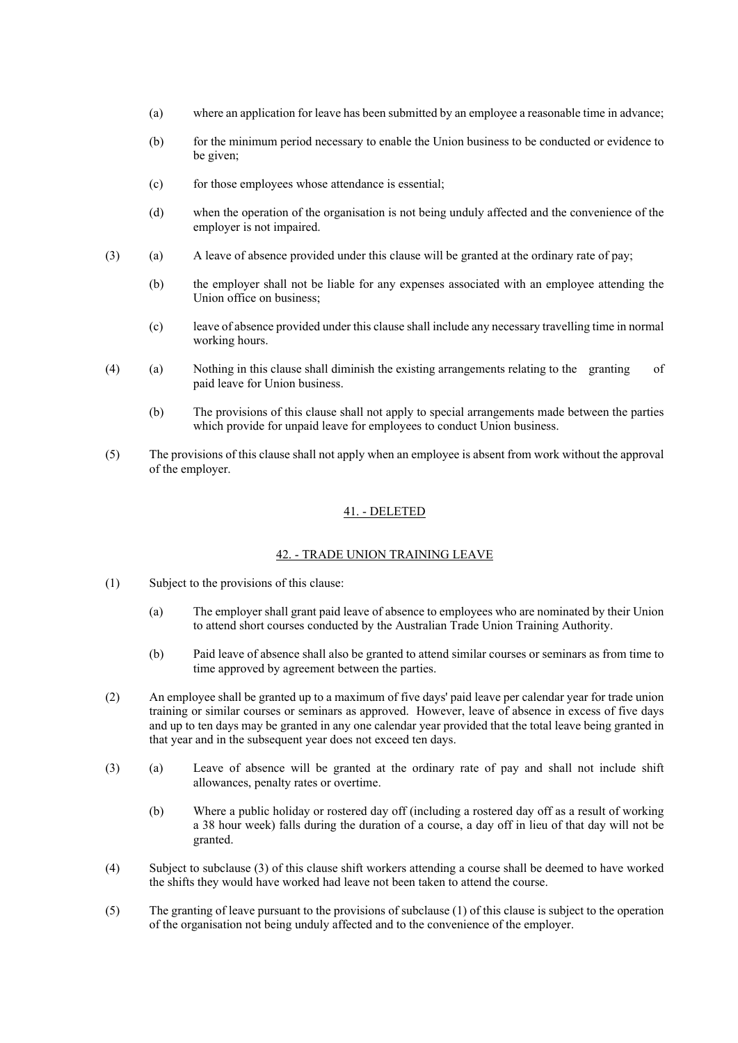- (a) where an application for leave has been submitted by an employee a reasonable time in advance;
- (b) for the minimum period necessary to enable the Union business to be conducted or evidence to be given;
- (c) for those employees whose attendance is essential;
- (d) when the operation of the organisation is not being unduly affected and the convenience of the employer is not impaired.
- (3) (a) A leave of absence provided under this clause will be granted at the ordinary rate of pay;
	- (b) the employer shall not be liable for any expenses associated with an employee attending the Union office on business;
	- (c) leave of absence provided under this clause shall include any necessary travelling time in normal working hours.
- (4) (a) Nothing in this clause shall diminish the existing arrangements relating to the granting of paid leave for Union business.
	- (b) The provisions of this clause shall not apply to special arrangements made between the parties which provide for unpaid leave for employees to conduct Union business.
- (5) The provisions of this clause shall not apply when an employee is absent from work without the approval of the employer.

### 41. - DELETED

#### 42. - TRADE UNION TRAINING LEAVE

- (1) Subject to the provisions of this clause:
	- (a) The employer shall grant paid leave of absence to employees who are nominated by their Union to attend short courses conducted by the Australian Trade Union Training Authority.
	- (b) Paid leave of absence shall also be granted to attend similar courses or seminars as from time to time approved by agreement between the parties.
- (2) An employee shall be granted up to a maximum of five days' paid leave per calendar year for trade union training or similar courses or seminars as approved. However, leave of absence in excess of five days and up to ten days may be granted in any one calendar year provided that the total leave being granted in that year and in the subsequent year does not exceed ten days.
- (3) (a) Leave of absence will be granted at the ordinary rate of pay and shall not include shift allowances, penalty rates or overtime.
	- (b) Where a public holiday or rostered day off (including a rostered day off as a result of working a 38 hour week) falls during the duration of a course, a day off in lieu of that day will not be granted.
- (4) Subject to subclause (3) of this clause shift workers attending a course shall be deemed to have worked the shifts they would have worked had leave not been taken to attend the course.
- (5) The granting of leave pursuant to the provisions of subclause (1) of this clause is subject to the operation of the organisation not being unduly affected and to the convenience of the employer.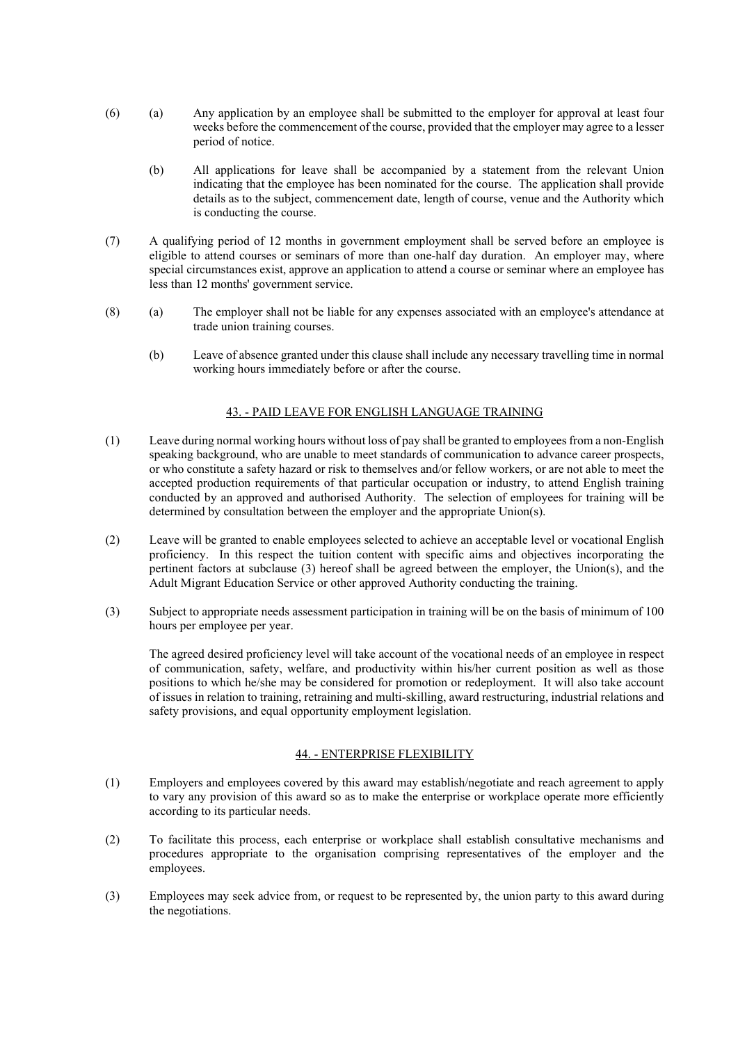- (6) (a) Any application by an employee shall be submitted to the employer for approval at least four weeks before the commencement of the course, provided that the employer may agree to a lesser period of notice.
	- (b) All applications for leave shall be accompanied by a statement from the relevant Union indicating that the employee has been nominated for the course. The application shall provide details as to the subject, commencement date, length of course, venue and the Authority which is conducting the course.
- (7) A qualifying period of 12 months in government employment shall be served before an employee is eligible to attend courses or seminars of more than one-half day duration. An employer may, where special circumstances exist, approve an application to attend a course or seminar where an employee has less than 12 months' government service.
- (8) (a) The employer shall not be liable for any expenses associated with an employee's attendance at trade union training courses.
	- (b) Leave of absence granted under this clause shall include any necessary travelling time in normal working hours immediately before or after the course.

### 43. - PAID LEAVE FOR ENGLISH LANGUAGE TRAINING

- (1) Leave during normal working hours without loss of pay shall be granted to employees from a non-English speaking background, who are unable to meet standards of communication to advance career prospects, or who constitute a safety hazard or risk to themselves and/or fellow workers, or are not able to meet the accepted production requirements of that particular occupation or industry, to attend English training conducted by an approved and authorised Authority. The selection of employees for training will be determined by consultation between the employer and the appropriate Union(s).
- (2) Leave will be granted to enable employees selected to achieve an acceptable level or vocational English proficiency. In this respect the tuition content with specific aims and objectives incorporating the pertinent factors at subclause (3) hereof shall be agreed between the employer, the Union(s), and the Adult Migrant Education Service or other approved Authority conducting the training.
- (3) Subject to appropriate needs assessment participation in training will be on the basis of minimum of 100 hours per employee per year.

The agreed desired proficiency level will take account of the vocational needs of an employee in respect of communication, safety, welfare, and productivity within his/her current position as well as those positions to which he/she may be considered for promotion or redeployment. It will also take account of issues in relation to training, retraining and multi-skilling, award restructuring, industrial relations and safety provisions, and equal opportunity employment legislation.

#### 44. - ENTERPRISE FLEXIBILITY

- (1) Employers and employees covered by this award may establish/negotiate and reach agreement to apply to vary any provision of this award so as to make the enterprise or workplace operate more efficiently according to its particular needs.
- (2) To facilitate this process, each enterprise or workplace shall establish consultative mechanisms and procedures appropriate to the organisation comprising representatives of the employer and the employees.
- (3) Employees may seek advice from, or request to be represented by, the union party to this award during the negotiations.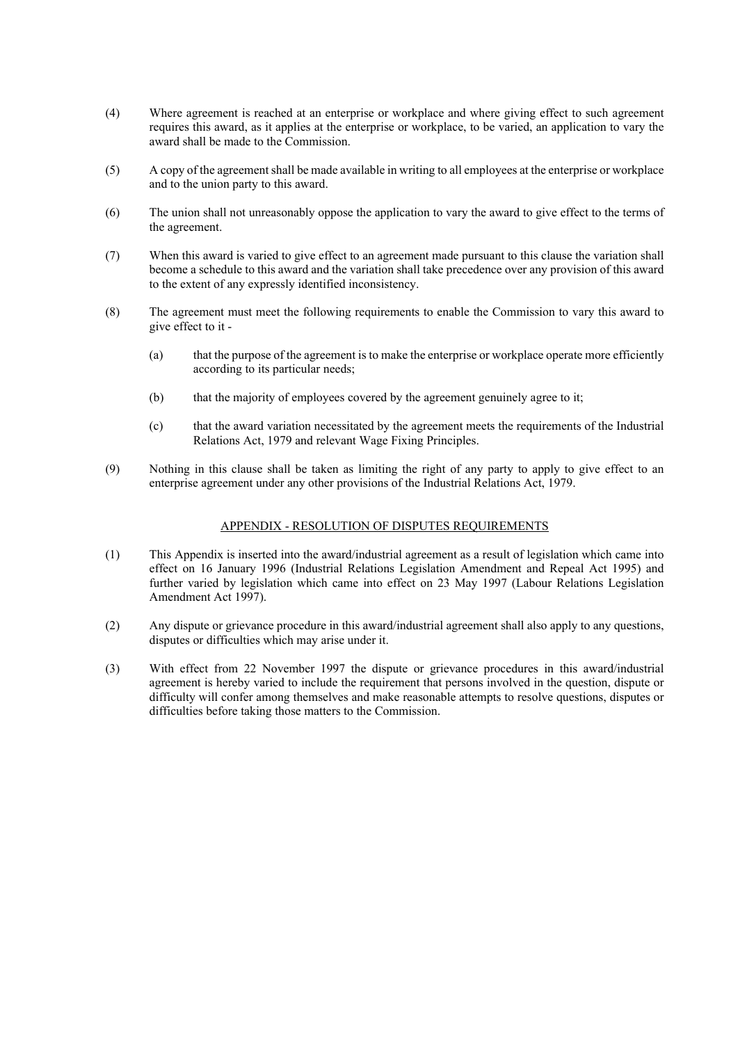- (4) Where agreement is reached at an enterprise or workplace and where giving effect to such agreement requires this award, as it applies at the enterprise or workplace, to be varied, an application to vary the award shall be made to the Commission.
- (5) A copy of the agreement shall be made available in writing to all employees at the enterprise or workplace and to the union party to this award.
- (6) The union shall not unreasonably oppose the application to vary the award to give effect to the terms of the agreement.
- (7) When this award is varied to give effect to an agreement made pursuant to this clause the variation shall become a schedule to this award and the variation shall take precedence over any provision of this award to the extent of any expressly identified inconsistency.
- (8) The agreement must meet the following requirements to enable the Commission to vary this award to give effect to it -
	- (a) that the purpose of the agreement is to make the enterprise or workplace operate more efficiently according to its particular needs;
	- (b) that the majority of employees covered by the agreement genuinely agree to it;
	- (c) that the award variation necessitated by the agreement meets the requirements of the Industrial Relations Act, 1979 and relevant Wage Fixing Principles.
- (9) Nothing in this clause shall be taken as limiting the right of any party to apply to give effect to an enterprise agreement under any other provisions of the Industrial Relations Act, 1979.

#### APPENDIX - RESOLUTION OF DISPUTES REQUIREMENTS

- (1) This Appendix is inserted into the award/industrial agreement as a result of legislation which came into effect on 16 January 1996 (Industrial Relations Legislation Amendment and Repeal Act 1995) and further varied by legislation which came into effect on 23 May 1997 (Labour Relations Legislation Amendment Act 1997).
- (2) Any dispute or grievance procedure in this award/industrial agreement shall also apply to any questions, disputes or difficulties which may arise under it.
- (3) With effect from 22 November 1997 the dispute or grievance procedures in this award/industrial agreement is hereby varied to include the requirement that persons involved in the question, dispute or difficulty will confer among themselves and make reasonable attempts to resolve questions, disputes or difficulties before taking those matters to the Commission.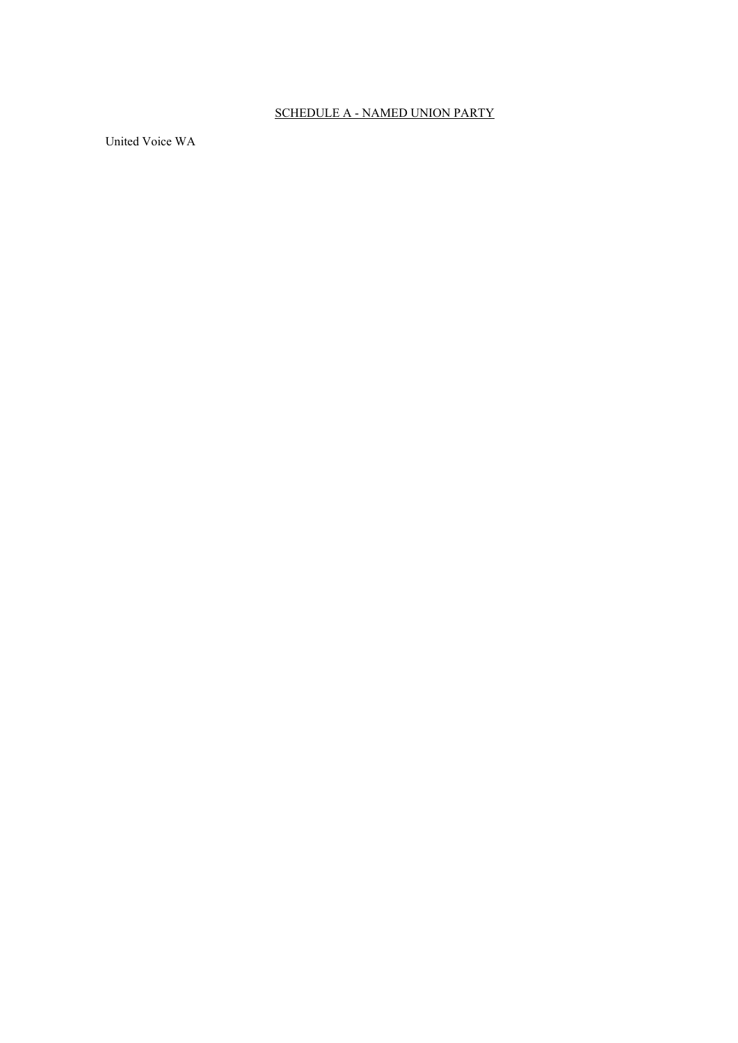# SCHEDULE A - NAMED UNION PARTY

United Voice WA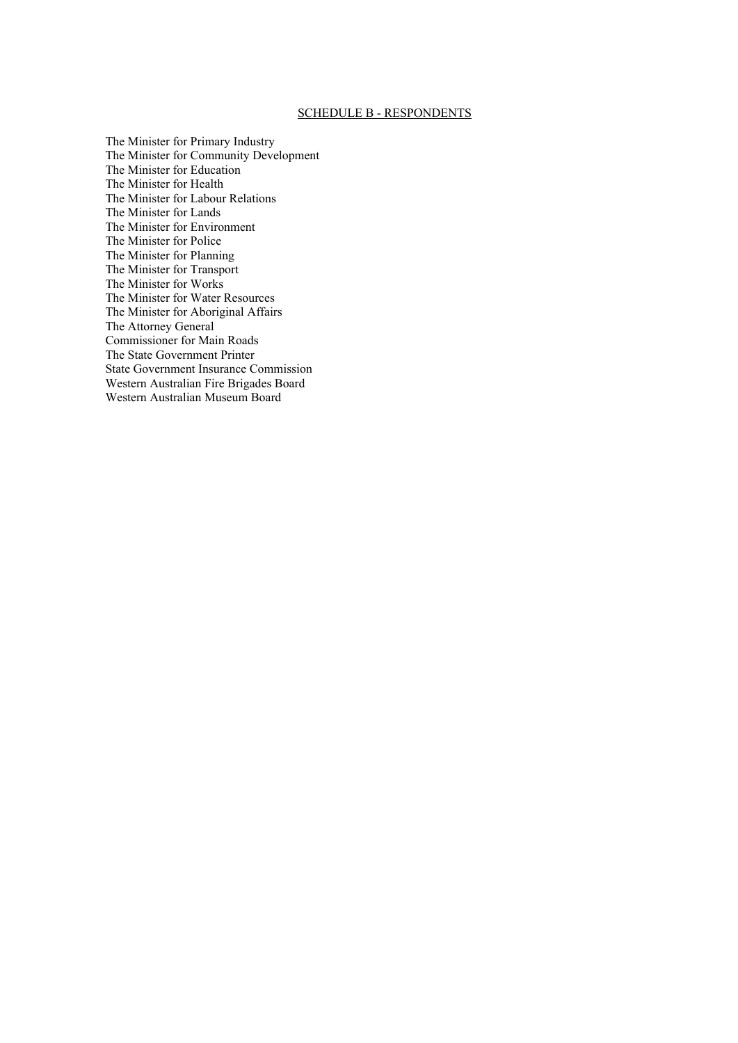#### SCHEDULE B - RESPONDENTS

The Minister for Primary Industry The Minister for Community Development The Minister for Education The Minister for Health The Minister for Labour Relations The Minister for Lands The Minister for Environment The Minister for Police The Minister for Planning The Minister for Transport The Minister for Works The Minister for Water Resources The Minister for Aboriginal Affairs The Attorney General Commissioner for Main Roads The State Government Printer State Government Insurance Commission Western Australian Fire Brigades Board Western Australian Museum Board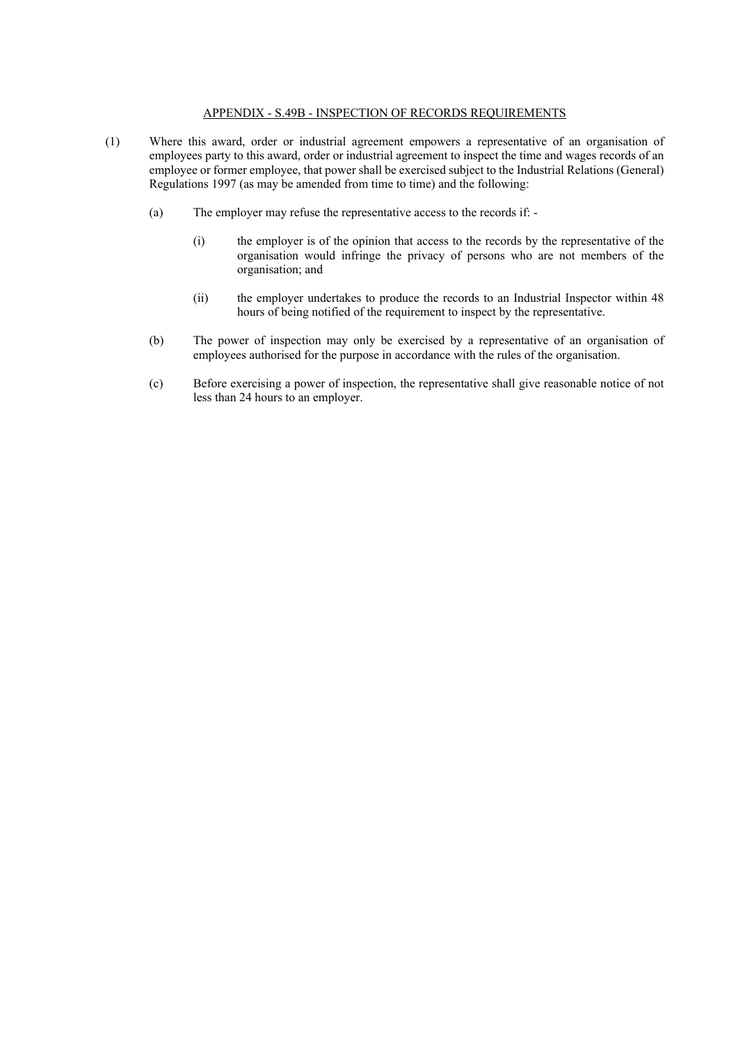#### APPENDIX - S.49B - INSPECTION OF RECORDS REQUIREMENTS

- (1) Where this award, order or industrial agreement empowers a representative of an organisation of employees party to this award, order or industrial agreement to inspect the time and wages records of an employee or former employee, that power shall be exercised subject to the Industrial Relations (General) Regulations 1997 (as may be amended from time to time) and the following:
	- (a) The employer may refuse the representative access to the records if:
		- (i) the employer is of the opinion that access to the records by the representative of the organisation would infringe the privacy of persons who are not members of the organisation; and
		- (ii) the employer undertakes to produce the records to an Industrial Inspector within 48 hours of being notified of the requirement to inspect by the representative.
	- (b) The power of inspection may only be exercised by a representative of an organisation of employees authorised for the purpose in accordance with the rules of the organisation.
	- (c) Before exercising a power of inspection, the representative shall give reasonable notice of not less than 24 hours to an employer.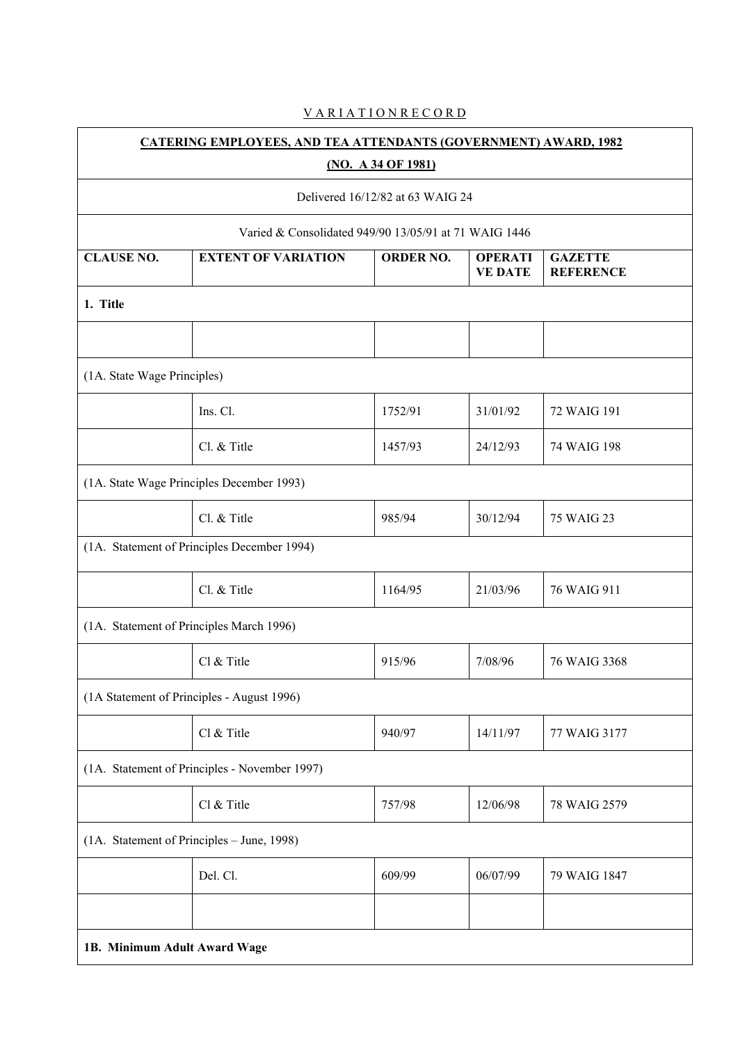# V A R I A T I O N R E C O R D

| <b>CATERING EMPLOYEES, AND TEA ATTENDANTS (GOVERNMENT) AWARD, 1982</b> |                                                       |                  |                                  |                                    |  |  |  |  |  |
|------------------------------------------------------------------------|-------------------------------------------------------|------------------|----------------------------------|------------------------------------|--|--|--|--|--|
| (NO. A 34 OF 1981)                                                     |                                                       |                  |                                  |                                    |  |  |  |  |  |
| Delivered 16/12/82 at 63 WAIG 24                                       |                                                       |                  |                                  |                                    |  |  |  |  |  |
|                                                                        | Varied & Consolidated 949/90 13/05/91 at 71 WAIG 1446 |                  |                                  |                                    |  |  |  |  |  |
| <b>CLAUSE NO.</b>                                                      | <b>EXTENT OF VARIATION</b>                            | <b>ORDER NO.</b> | <b>OPERATI</b><br><b>VE DATE</b> | <b>GAZETTE</b><br><b>REFERENCE</b> |  |  |  |  |  |
| 1. Title                                                               |                                                       |                  |                                  |                                    |  |  |  |  |  |
|                                                                        |                                                       |                  |                                  |                                    |  |  |  |  |  |
| (1A. State Wage Principles)                                            |                                                       |                  |                                  |                                    |  |  |  |  |  |
|                                                                        | Ins. Cl.                                              | 1752/91          | 31/01/92                         | 72 WAIG 191                        |  |  |  |  |  |
|                                                                        | Cl. & Title                                           | 1457/93          | 24/12/93                         | 74 WAIG 198                        |  |  |  |  |  |
|                                                                        | (1A. State Wage Principles December 1993)             |                  |                                  |                                    |  |  |  |  |  |
|                                                                        | Cl. & Title                                           | 985/94           | 30/12/94                         | 75 WAIG 23                         |  |  |  |  |  |
|                                                                        | (1A. Statement of Principles December 1994)           |                  |                                  |                                    |  |  |  |  |  |
|                                                                        | Cl. & Title                                           | 1164/95          | 21/03/96                         | 76 WAIG 911                        |  |  |  |  |  |
| (1A. Statement of Principles March 1996)                               |                                                       |                  |                                  |                                    |  |  |  |  |  |
|                                                                        | Cl & Title                                            | 915/96           | 7/08/96                          | 76 WAIG 3368                       |  |  |  |  |  |
|                                                                        | (1A Statement of Principles - August 1996)            |                  |                                  |                                    |  |  |  |  |  |
|                                                                        | Cl & Title                                            | 940/97           | 14/11/97                         | 77 WAIG 3177                       |  |  |  |  |  |
| (1A. Statement of Principles - November 1997)                          |                                                       |                  |                                  |                                    |  |  |  |  |  |
|                                                                        | Cl & Title                                            | 757/98           | 12/06/98                         | 78 WAIG 2579                       |  |  |  |  |  |
| (1A. Statement of Principles - June, 1998)                             |                                                       |                  |                                  |                                    |  |  |  |  |  |
|                                                                        | Del. Cl.                                              | 609/99           | 06/07/99                         | 79 WAIG 1847                       |  |  |  |  |  |
|                                                                        |                                                       |                  |                                  |                                    |  |  |  |  |  |
| 1B. Minimum Adult Award Wage                                           |                                                       |                  |                                  |                                    |  |  |  |  |  |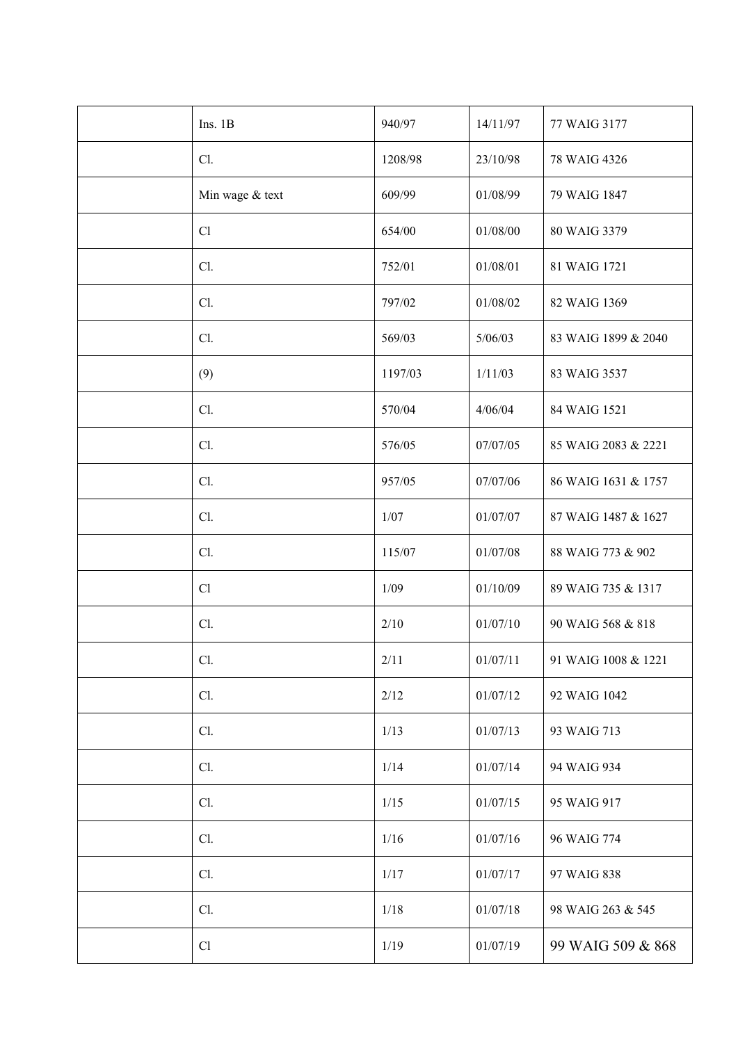| Ins. $1B$       | 940/97  | 14/11/97 | 77 WAIG 3177        |
|-----------------|---------|----------|---------------------|
| Cl.             | 1208/98 | 23/10/98 | 78 WAIG 4326        |
| Min wage & text | 609/99  | 01/08/99 | 79 WAIG 1847        |
| Cl              | 654/00  | 01/08/00 | 80 WAIG 3379        |
| Cl.             | 752/01  | 01/08/01 | 81 WAIG 1721        |
| Cl.             | 797/02  | 01/08/02 | 82 WAIG 1369        |
| Cl.             | 569/03  | 5/06/03  | 83 WAIG 1899 & 2040 |
| (9)             | 1197/03 | 1/11/03  | 83 WAIG 3537        |
| Cl.             | 570/04  | 4/06/04  | 84 WAIG 1521        |
| Cl.             | 576/05  | 07/07/05 | 85 WAIG 2083 & 2221 |
| Cl.             | 957/05  | 07/07/06 | 86 WAIG 1631 & 1757 |
| Cl.             | $1/07$  | 01/07/07 | 87 WAIG 1487 & 1627 |
| Cl.             | 115/07  | 01/07/08 | 88 WAIG 773 & 902   |
| Cl              | $1/09$  | 01/10/09 | 89 WAIG 735 & 1317  |
| Cl.             | 2/10    | 01/07/10 | 90 WAIG 568 & 818   |
| Cl.             | 2/11    | 01/07/11 | 91 WAIG 1008 & 1221 |
| Cl.             | 2/12    | 01/07/12 | 92 WAIG 1042        |
| Cl.             | 1/13    | 01/07/13 | 93 WAIG 713         |
| Cl.             | 1/14    | 01/07/14 | 94 WAIG 934         |
| Cl.             | 1/15    | 01/07/15 | 95 WAIG 917         |
| Cl.             | 1/16    | 01/07/16 | 96 WAIG 774         |
| Cl.             | 1/17    | 01/07/17 | 97 WAIG 838         |
| Cl.             | 1/18    | 01/07/18 | 98 WAIG 263 & 545   |
| Cl              | 1/19    | 01/07/19 | 99 WAIG 509 & 868   |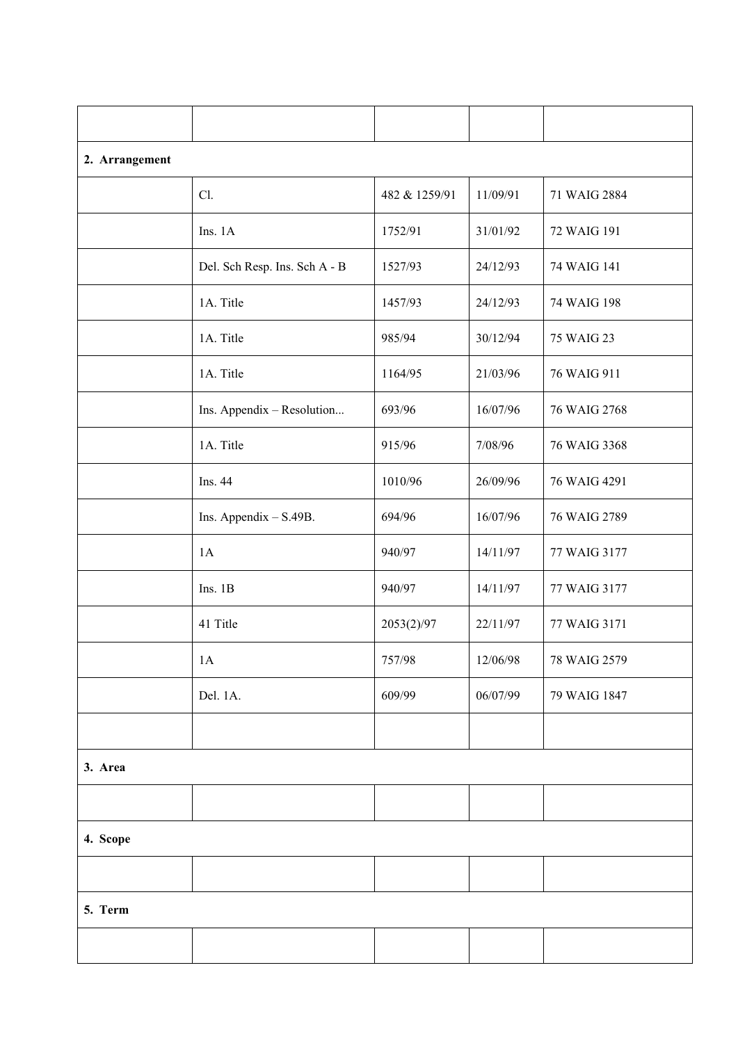| 2. Arrangement |                               |               |          |              |  |  |  |
|----------------|-------------------------------|---------------|----------|--------------|--|--|--|
|                | Cl.                           | 482 & 1259/91 | 11/09/91 | 71 WAIG 2884 |  |  |  |
|                | Ins. 1A                       | 1752/91       | 31/01/92 | 72 WAIG 191  |  |  |  |
|                | Del. Sch Resp. Ins. Sch A - B | 1527/93       | 24/12/93 | 74 WAIG 141  |  |  |  |
|                | 1A. Title                     | 1457/93       | 24/12/93 | 74 WAIG 198  |  |  |  |
|                | 1A. Title                     | 985/94        | 30/12/94 | 75 WAIG 23   |  |  |  |
|                | 1A. Title                     | 1164/95       | 21/03/96 | 76 WAIG 911  |  |  |  |
|                | Ins. Appendix - Resolution    | 693/96        | 16/07/96 | 76 WAIG 2768 |  |  |  |
|                | 1A. Title                     | 915/96        | 7/08/96  | 76 WAIG 3368 |  |  |  |
|                | Ins. 44                       | 1010/96       | 26/09/96 | 76 WAIG 4291 |  |  |  |
|                | Ins. Appendix $-$ S.49B.      | 694/96        | 16/07/96 | 76 WAIG 2789 |  |  |  |
|                | 1A                            | 940/97        | 14/11/97 | 77 WAIG 3177 |  |  |  |
|                | Ins. 1B                       | 940/97        | 14/11/97 | 77 WAIG 3177 |  |  |  |
|                | 41 Title                      | 2053(2)/97    | 22/11/97 | 77 WAIG 3171 |  |  |  |
|                | 1A                            | 757/98        | 12/06/98 | 78 WAIG 2579 |  |  |  |
|                | Del. 1A.                      | 609/99        | 06/07/99 | 79 WAIG 1847 |  |  |  |
|                |                               |               |          |              |  |  |  |
| 3. Area        |                               |               |          |              |  |  |  |
|                |                               |               |          |              |  |  |  |
| 4. Scope       |                               |               |          |              |  |  |  |
|                |                               |               |          |              |  |  |  |
| 5. Term        |                               |               |          |              |  |  |  |
|                |                               |               |          |              |  |  |  |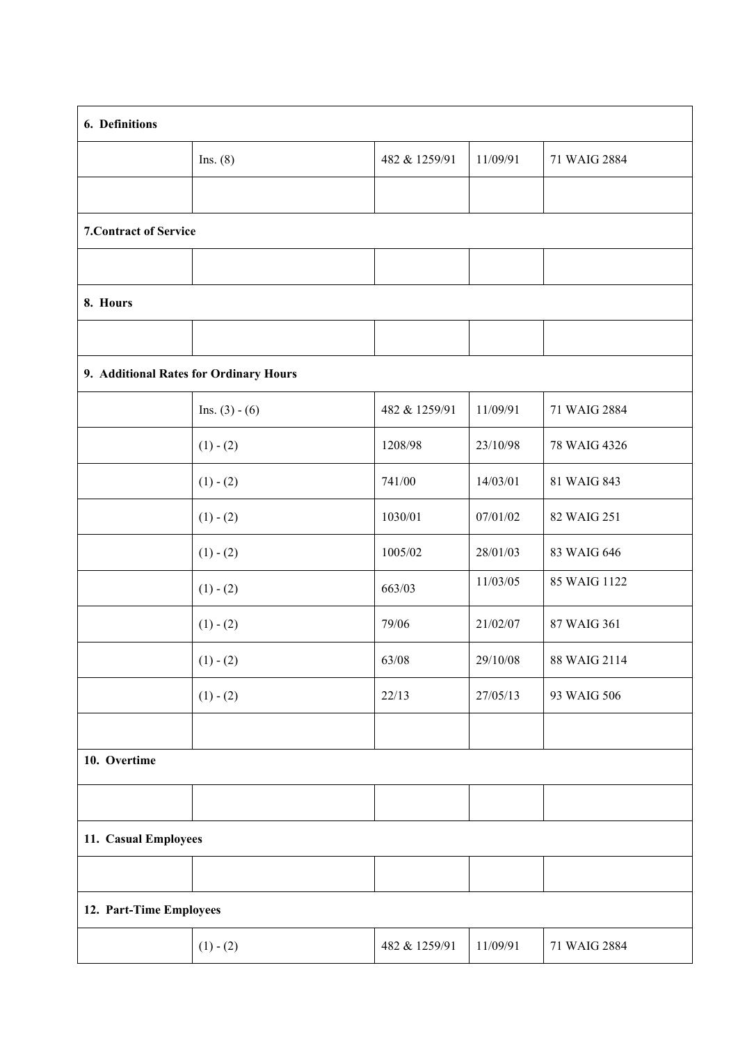| 6. Definitions                         |                  |               |          |              |  |  |  |
|----------------------------------------|------------------|---------------|----------|--------------|--|--|--|
|                                        | Ins. $(8)$       | 482 & 1259/91 | 11/09/91 | 71 WAIG 2884 |  |  |  |
|                                        |                  |               |          |              |  |  |  |
| <b>7. Contract of Service</b>          |                  |               |          |              |  |  |  |
|                                        |                  |               |          |              |  |  |  |
| 8. Hours                               |                  |               |          |              |  |  |  |
|                                        |                  |               |          |              |  |  |  |
| 9. Additional Rates for Ordinary Hours |                  |               |          |              |  |  |  |
|                                        | Ins. $(3) - (6)$ | 482 & 1259/91 | 11/09/91 | 71 WAIG 2884 |  |  |  |
|                                        | $(1) - (2)$      | 1208/98       | 23/10/98 | 78 WAIG 4326 |  |  |  |
|                                        | $(1) - (2)$      | 741/00        | 14/03/01 | 81 WAIG 843  |  |  |  |
|                                        | $(1) - (2)$      | 1030/01       | 07/01/02 | 82 WAIG 251  |  |  |  |
|                                        | $(1) - (2)$      | 1005/02       | 28/01/03 | 83 WAIG 646  |  |  |  |
|                                        | $(1) - (2)$      | 663/03        | 11/03/05 | 85 WAIG 1122 |  |  |  |
|                                        | $(1) - (2)$      | 79/06         | 21/02/07 | 87 WAIG 361  |  |  |  |
|                                        | $(1) - (2)$      | 63/08         | 29/10/08 | 88 WAIG 2114 |  |  |  |
|                                        | $(1) - (2)$      | 22/13         | 27/05/13 | 93 WAIG 506  |  |  |  |
|                                        |                  |               |          |              |  |  |  |
| 10. Overtime                           |                  |               |          |              |  |  |  |
|                                        |                  |               |          |              |  |  |  |
| 11. Casual Employees                   |                  |               |          |              |  |  |  |
|                                        |                  |               |          |              |  |  |  |
| 12. Part-Time Employees                |                  |               |          |              |  |  |  |
|                                        | $(1) - (2)$      | 482 & 1259/91 | 11/09/91 | 71 WAIG 2884 |  |  |  |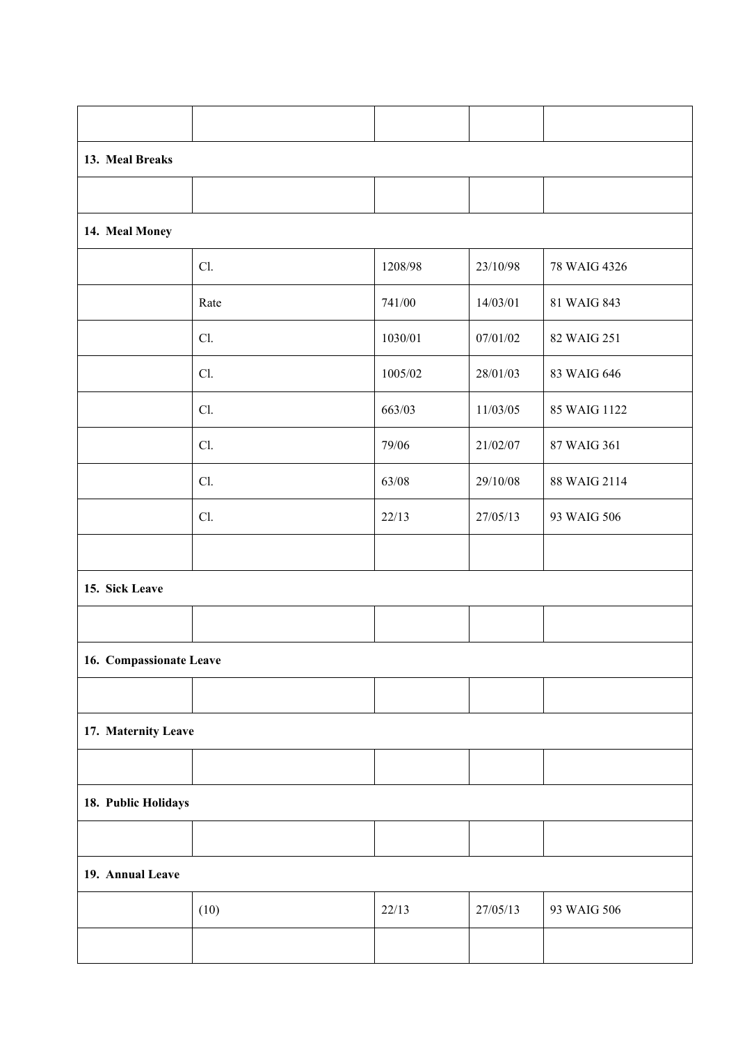| 13. Meal Breaks         |      |         |          |              |  |  |  |  |
|-------------------------|------|---------|----------|--------------|--|--|--|--|
|                         |      |         |          |              |  |  |  |  |
| 14. Meal Money          |      |         |          |              |  |  |  |  |
|                         | Cl.  | 1208/98 | 23/10/98 | 78 WAIG 4326 |  |  |  |  |
|                         | Rate | 741/00  | 14/03/01 | 81 WAIG 843  |  |  |  |  |
|                         | Cl.  | 1030/01 | 07/01/02 | 82 WAIG 251  |  |  |  |  |
|                         | Cl.  | 1005/02 | 28/01/03 | 83 WAIG 646  |  |  |  |  |
|                         | Cl.  | 663/03  | 11/03/05 | 85 WAIG 1122 |  |  |  |  |
|                         | Cl.  | 79/06   | 21/02/07 | 87 WAIG 361  |  |  |  |  |
|                         | Cl.  | 63/08   | 29/10/08 | 88 WAIG 2114 |  |  |  |  |
|                         | Cl.  | 22/13   | 27/05/13 | 93 WAIG 506  |  |  |  |  |
|                         |      |         |          |              |  |  |  |  |
| 15. Sick Leave          |      |         |          |              |  |  |  |  |
|                         |      |         |          |              |  |  |  |  |
| 16. Compassionate Leave |      |         |          |              |  |  |  |  |
|                         |      |         |          |              |  |  |  |  |
| 17. Maternity Leave     |      |         |          |              |  |  |  |  |
|                         |      |         |          |              |  |  |  |  |
| 18. Public Holidays     |      |         |          |              |  |  |  |  |
|                         |      |         |          |              |  |  |  |  |
| 19. Annual Leave        |      |         |          |              |  |  |  |  |
|                         | (10) | 22/13   | 27/05/13 | 93 WAIG 506  |  |  |  |  |
|                         |      |         |          |              |  |  |  |  |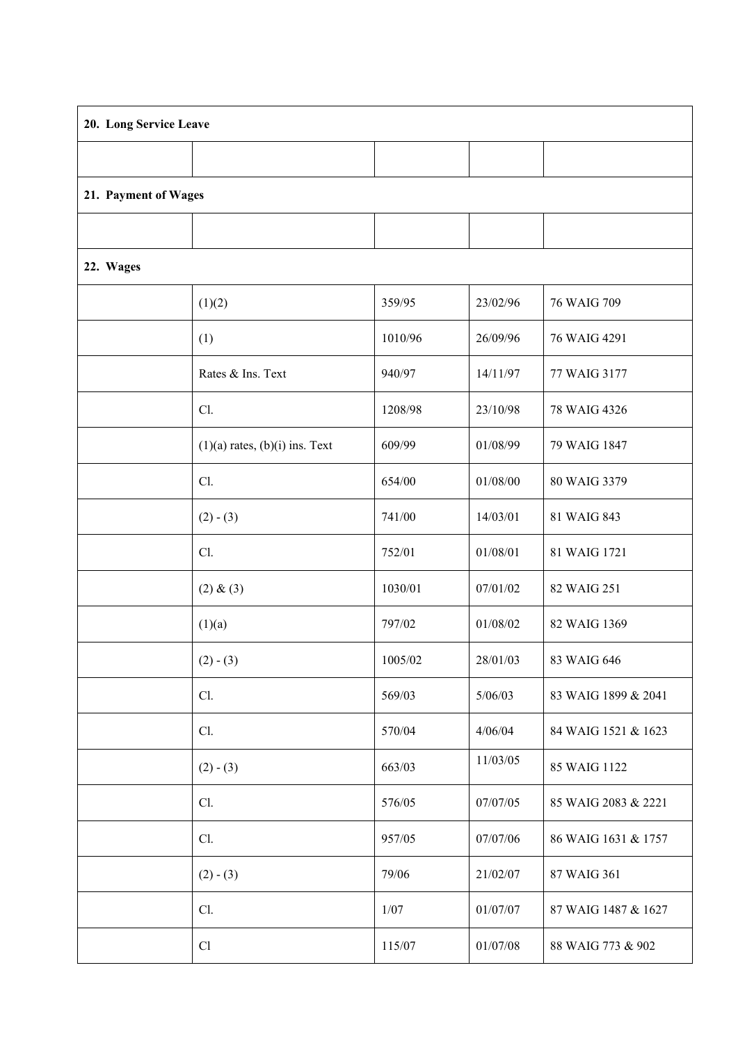| 20. Long Service Leave |                                    |         |          |                     |  |  |  |
|------------------------|------------------------------------|---------|----------|---------------------|--|--|--|
|                        |                                    |         |          |                     |  |  |  |
| 21. Payment of Wages   |                                    |         |          |                     |  |  |  |
|                        |                                    |         |          |                     |  |  |  |
| 22. Wages              |                                    |         |          |                     |  |  |  |
|                        | (1)(2)                             | 359/95  | 23/02/96 | 76 WAIG 709         |  |  |  |
|                        | (1)                                | 1010/96 | 26/09/96 | 76 WAIG 4291        |  |  |  |
|                        | Rates & Ins. Text                  | 940/97  | 14/11/97 | 77 WAIG 3177        |  |  |  |
|                        | Cl.                                | 1208/98 | 23/10/98 | 78 WAIG 4326        |  |  |  |
|                        | $(1)(a)$ rates, $(b)(i)$ ins. Text | 609/99  | 01/08/99 | 79 WAIG 1847        |  |  |  |
|                        | Cl.                                | 654/00  | 01/08/00 | 80 WAIG 3379        |  |  |  |
|                        | $(2) - (3)$                        | 741/00  | 14/03/01 | 81 WAIG 843         |  |  |  |
|                        | Cl.                                | 752/01  | 01/08/01 | 81 WAIG 1721        |  |  |  |
|                        | (2) & (3)                          | 1030/01 | 07/01/02 | 82 WAIG 251         |  |  |  |
|                        | (1)(a)                             | 797/02  | 01/08/02 | 82 WAIG 1369        |  |  |  |
|                        | $(2) - (3)$                        | 1005/02 | 28/01/03 | 83 WAIG 646         |  |  |  |
|                        | Cl.                                | 569/03  | 5/06/03  | 83 WAIG 1899 & 2041 |  |  |  |
|                        | Cl.                                | 570/04  | 4/06/04  | 84 WAIG 1521 & 1623 |  |  |  |
|                        | $(2) - (3)$                        | 663/03  | 11/03/05 | 85 WAIG 1122        |  |  |  |
|                        | Cl.                                | 576/05  | 07/07/05 | 85 WAIG 2083 & 2221 |  |  |  |
|                        | Cl.                                | 957/05  | 07/07/06 | 86 WAIG 1631 & 1757 |  |  |  |
|                        | $(2) - (3)$                        | 79/06   | 21/02/07 | 87 WAIG 361         |  |  |  |
|                        | Cl.                                | $1/07$  | 01/07/07 | 87 WAIG 1487 & 1627 |  |  |  |
|                        | Cl                                 | 115/07  | 01/07/08 | 88 WAIG 773 & 902   |  |  |  |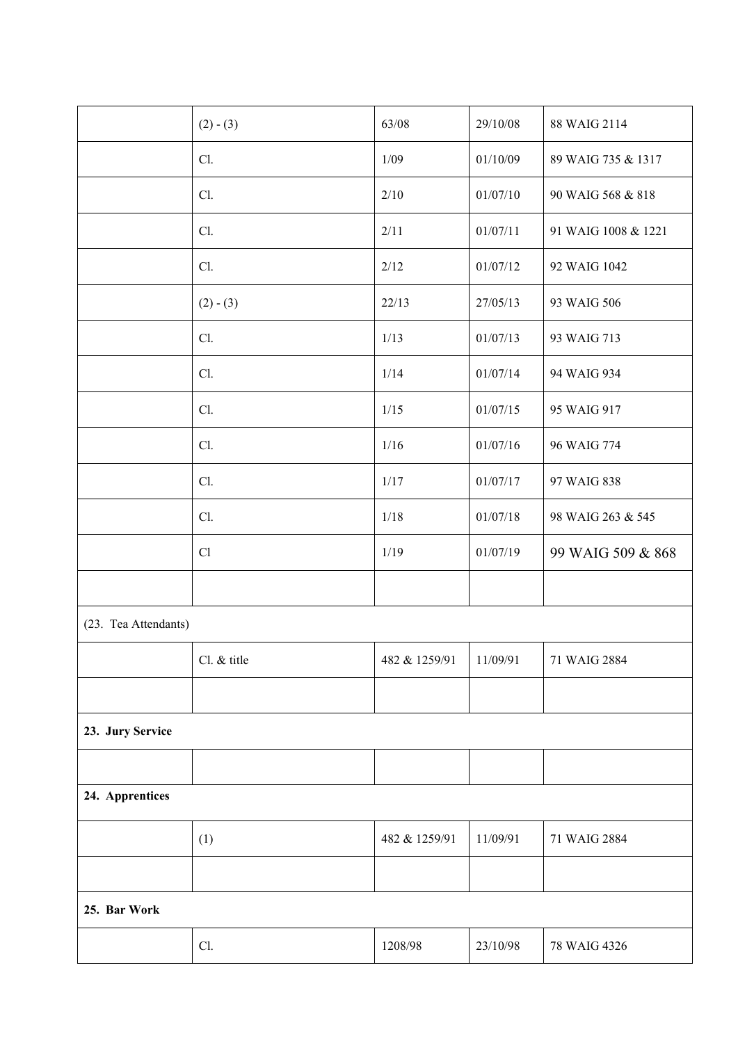|                      | $(2) - (3)$ | 63/08         | 29/10/08 | 88 WAIG 2114        |  |
|----------------------|-------------|---------------|----------|---------------------|--|
|                      | Cl.         | 1/09          | 01/10/09 | 89 WAIG 735 & 1317  |  |
|                      | Cl.         | 2/10          | 01/07/10 | 90 WAIG 568 & 818   |  |
|                      | Cl.         | 2/11          | 01/07/11 | 91 WAIG 1008 & 1221 |  |
|                      | Cl.         | 2/12          | 01/07/12 | 92 WAIG 1042        |  |
|                      | $(2) - (3)$ | 22/13         | 27/05/13 | 93 WAIG 506         |  |
|                      | Cl.         | 1/13          | 01/07/13 | 93 WAIG 713         |  |
|                      | Cl.         | 1/14          | 01/07/14 | 94 WAIG 934         |  |
|                      | Cl.         | 1/15          | 01/07/15 | 95 WAIG 917         |  |
|                      | Cl.         | 1/16          | 01/07/16 | 96 WAIG 774         |  |
|                      | Cl.         | 1/17          | 01/07/17 | 97 WAIG 838         |  |
|                      | Cl.         | 1/18          | 01/07/18 | 98 WAIG 263 & 545   |  |
|                      | Cl          | 1/19          | 01/07/19 | 99 WAIG 509 & 868   |  |
|                      |             |               |          |                     |  |
| (23. Tea Attendants) |             |               |          |                     |  |
|                      | Cl. & title | 482 & 1259/91 | 11/09/91 | 71 WAIG 2884        |  |
|                      |             |               |          |                     |  |
| 23. Jury Service     |             |               |          |                     |  |
|                      |             |               |          |                     |  |
| 24. Apprentices      |             |               |          |                     |  |
|                      | (1)         | 482 & 1259/91 | 11/09/91 | 71 WAIG 2884        |  |
|                      |             |               |          |                     |  |
| 25. Bar Work         |             |               |          |                     |  |
|                      | Cl.         | 1208/98       | 23/10/98 | 78 WAIG 4326        |  |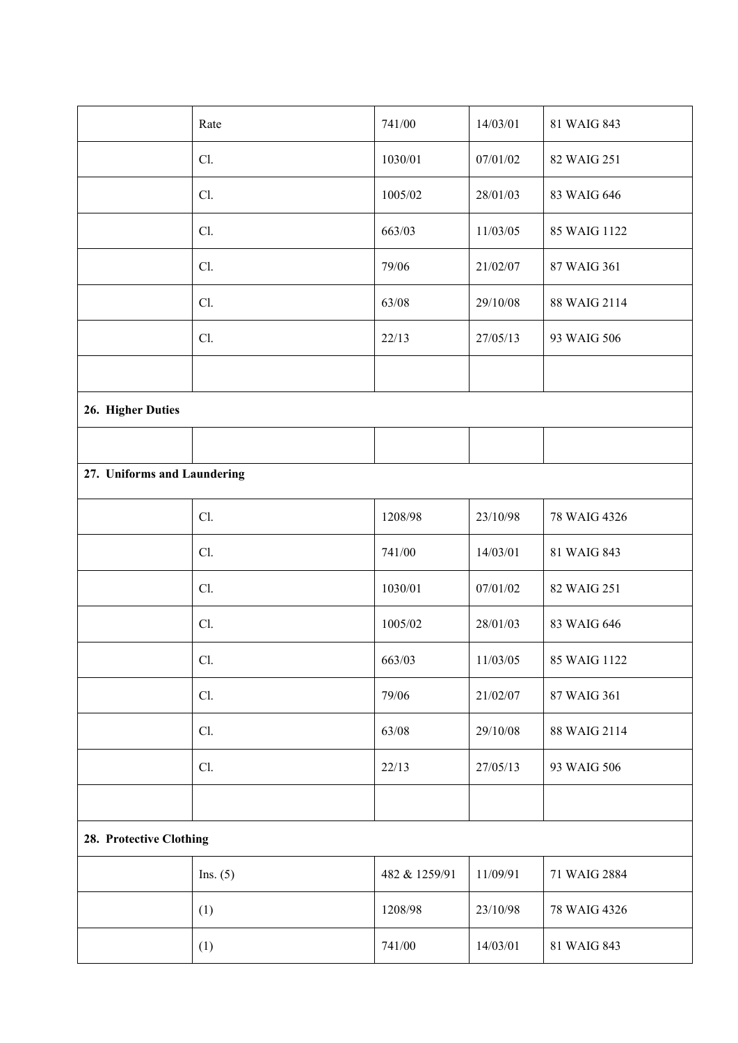|                             | Rate       | 741/00        | 14/03/01 | 81 WAIG 843  |  |
|-----------------------------|------------|---------------|----------|--------------|--|
|                             | Cl.        | 1030/01       | 07/01/02 | 82 WAIG 251  |  |
|                             | Cl.        | 1005/02       | 28/01/03 | 83 WAIG 646  |  |
|                             | Cl.        | 663/03        | 11/03/05 | 85 WAIG 1122 |  |
|                             | Cl.        | 79/06         | 21/02/07 | 87 WAIG 361  |  |
|                             | Cl.        | 63/08         | 29/10/08 | 88 WAIG 2114 |  |
|                             | Cl.        | 22/13         | 27/05/13 | 93 WAIG 506  |  |
|                             |            |               |          |              |  |
| 26. Higher Duties           |            |               |          |              |  |
|                             |            |               |          |              |  |
| 27. Uniforms and Laundering |            |               |          |              |  |
|                             | Cl.        | 1208/98       | 23/10/98 | 78 WAIG 4326 |  |
|                             | Cl.        | 741/00        | 14/03/01 | 81 WAIG 843  |  |
|                             | Cl.        | 1030/01       | 07/01/02 | 82 WAIG 251  |  |
|                             | Cl.        | 1005/02       | 28/01/03 | 83 WAIG 646  |  |
|                             | Cl.        | 663/03        | 11/03/05 | 85 WAIG 1122 |  |
|                             | Cl.        | 79/06         | 21/02/07 | 87 WAIG 361  |  |
|                             | Cl.        | 63/08         | 29/10/08 | 88 WAIG 2114 |  |
|                             | Cl.        | 22/13         | 27/05/13 | 93 WAIG 506  |  |
|                             |            |               |          |              |  |
| 28. Protective Clothing     |            |               |          |              |  |
|                             | Ins. $(5)$ | 482 & 1259/91 | 11/09/91 | 71 WAIG 2884 |  |
|                             | (1)        | 1208/98       | 23/10/98 | 78 WAIG 4326 |  |
|                             | (1)        | 741/00        | 14/03/01 | 81 WAIG 843  |  |
|                             |            |               |          |              |  |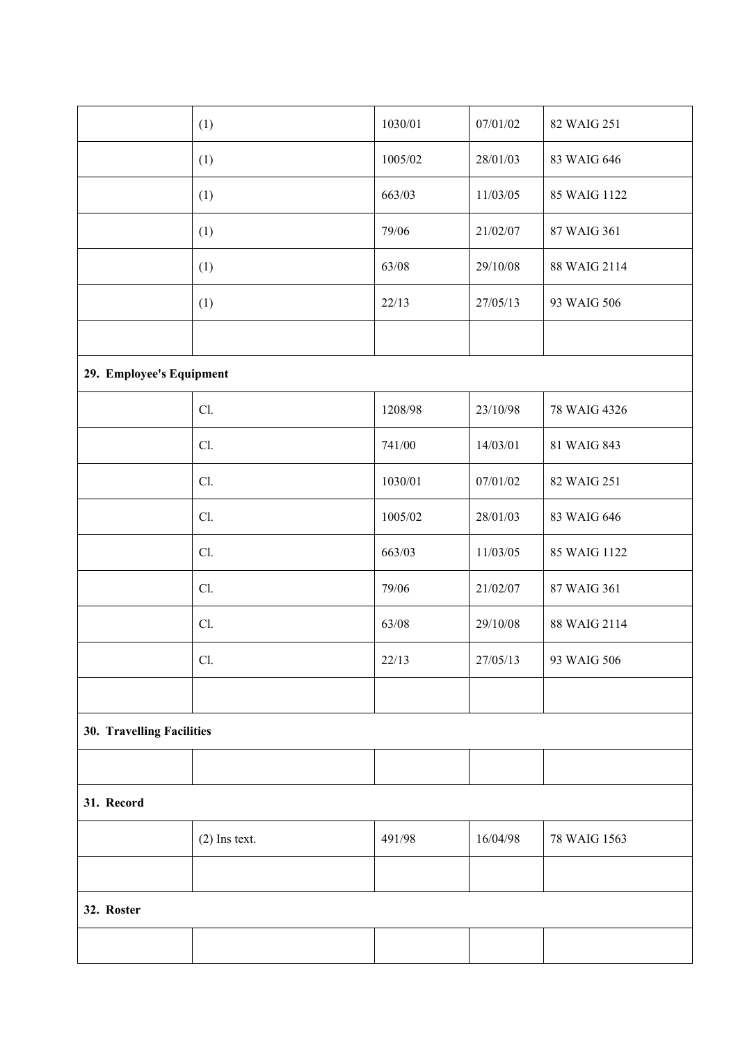|                           | (1)             | 1030/01 | 07/01/02 | 82 WAIG 251  |  |
|---------------------------|-----------------|---------|----------|--------------|--|
|                           | (1)             | 1005/02 | 28/01/03 | 83 WAIG 646  |  |
|                           | (1)             | 663/03  | 11/03/05 | 85 WAIG 1122 |  |
|                           | (1)             | 79/06   | 21/02/07 | 87 WAIG 361  |  |
|                           | (1)             | 63/08   | 29/10/08 | 88 WAIG 2114 |  |
|                           | (1)             | 22/13   | 27/05/13 | 93 WAIG 506  |  |
|                           |                 |         |          |              |  |
| 29. Employee's Equipment  |                 |         |          |              |  |
|                           | Cl.             | 1208/98 | 23/10/98 | 78 WAIG 4326 |  |
|                           | Cl.             | 741/00  | 14/03/01 | 81 WAIG 843  |  |
|                           | Cl.             | 1030/01 | 07/01/02 | 82 WAIG 251  |  |
|                           | Cl.             | 1005/02 | 28/01/03 | 83 WAIG 646  |  |
|                           | Cl.             | 663/03  | 11/03/05 | 85 WAIG 1122 |  |
|                           | Cl.             | 79/06   | 21/02/07 | 87 WAIG 361  |  |
|                           | Cl.             | 63/08   | 29/10/08 | 88 WAIG 2114 |  |
|                           | Cl.             | 22/13   | 27/05/13 | 93 WAIG 506  |  |
|                           |                 |         |          |              |  |
| 30. Travelling Facilities |                 |         |          |              |  |
|                           |                 |         |          |              |  |
| 31. Record                |                 |         |          |              |  |
|                           | $(2)$ Ins text. | 491/98  | 16/04/98 | 78 WAIG 1563 |  |
|                           |                 |         |          |              |  |
| 32. Roster                |                 |         |          |              |  |
|                           |                 |         |          |              |  |
|                           |                 |         |          |              |  |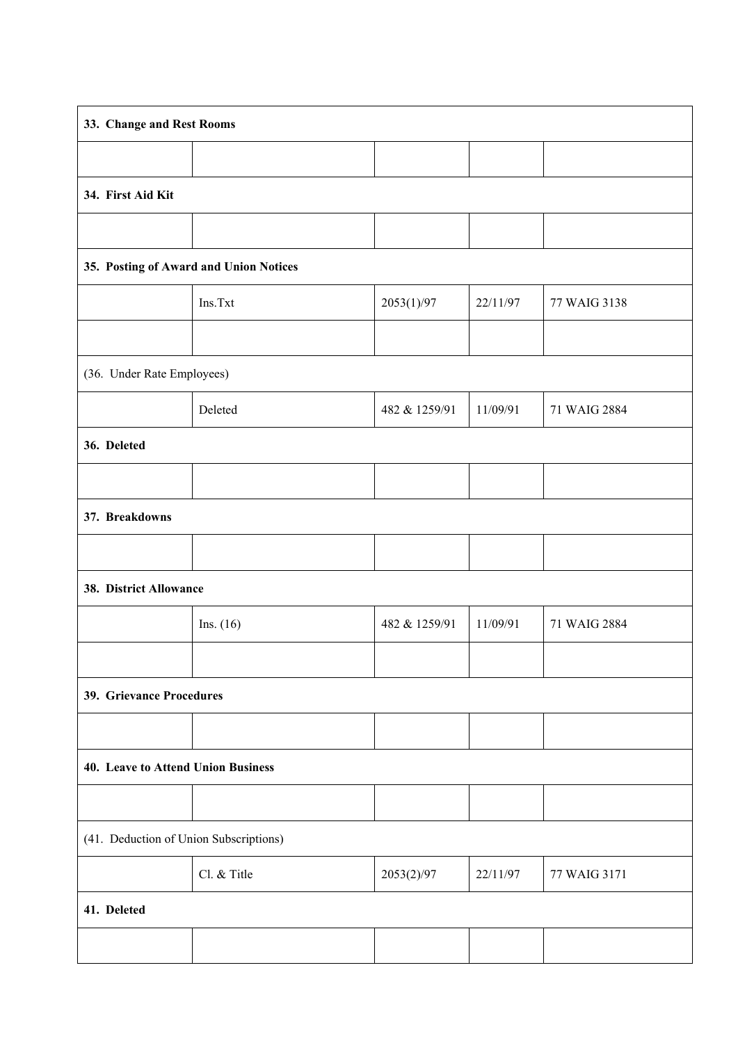| 33. Change and Rest Rooms              |             |               |          |              |  |
|----------------------------------------|-------------|---------------|----------|--------------|--|
|                                        |             |               |          |              |  |
| 34. First Aid Kit                      |             |               |          |              |  |
|                                        |             |               |          |              |  |
| 35. Posting of Award and Union Notices |             |               |          |              |  |
|                                        | Ins.Txt     | 2053(1)/97    | 22/11/97 | 77 WAIG 3138 |  |
|                                        |             |               |          |              |  |
| (36. Under Rate Employees)             |             |               |          |              |  |
|                                        | Deleted     | 482 & 1259/91 | 11/09/91 | 71 WAIG 2884 |  |
| 36. Deleted                            |             |               |          |              |  |
|                                        |             |               |          |              |  |
| 37. Breakdowns                         |             |               |          |              |  |
|                                        |             |               |          |              |  |
| 38. District Allowance                 |             |               |          |              |  |
|                                        | Ins. $(16)$ | 482 & 1259/91 | 11/09/91 | 71 WAIG 2884 |  |
|                                        |             |               |          |              |  |
| 39. Grievance Procedures               |             |               |          |              |  |
|                                        |             |               |          |              |  |
| 40. Leave to Attend Union Business     |             |               |          |              |  |
|                                        |             |               |          |              |  |
| (41. Deduction of Union Subscriptions) |             |               |          |              |  |
|                                        | Cl. & Title | 2053(2)/97    | 22/11/97 | 77 WAIG 3171 |  |
| 41. Deleted                            |             |               |          |              |  |
|                                        |             |               |          |              |  |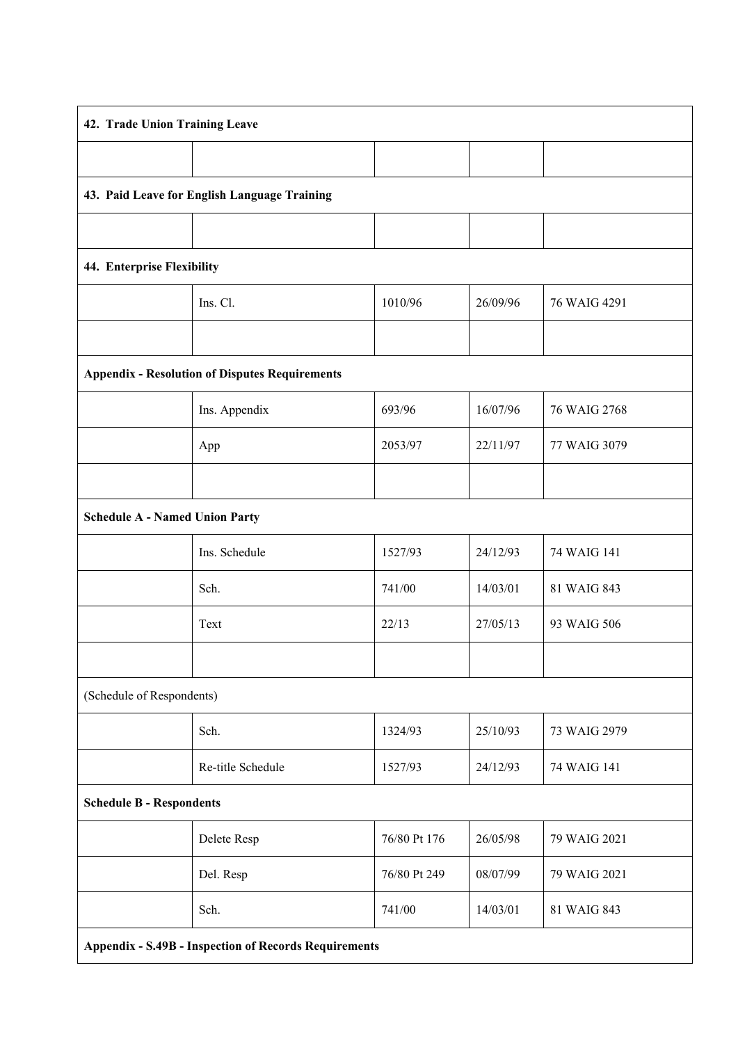| 42. Trade Union Training Leave                               |                   |              |          |              |  |
|--------------------------------------------------------------|-------------------|--------------|----------|--------------|--|
|                                                              |                   |              |          |              |  |
| 43. Paid Leave for English Language Training                 |                   |              |          |              |  |
|                                                              |                   |              |          |              |  |
| 44. Enterprise Flexibility                                   |                   |              |          |              |  |
|                                                              | Ins. Cl.          | 1010/96      | 26/09/96 | 76 WAIG 4291 |  |
|                                                              |                   |              |          |              |  |
| <b>Appendix - Resolution of Disputes Requirements</b>        |                   |              |          |              |  |
|                                                              | Ins. Appendix     | 693/96       | 16/07/96 | 76 WAIG 2768 |  |
|                                                              | App               | 2053/97      | 22/11/97 | 77 WAIG 3079 |  |
|                                                              |                   |              |          |              |  |
| <b>Schedule A - Named Union Party</b>                        |                   |              |          |              |  |
|                                                              | Ins. Schedule     | 1527/93      | 24/12/93 | 74 WAIG 141  |  |
|                                                              | Sch.              | 741/00       | 14/03/01 | 81 WAIG 843  |  |
|                                                              | Text              | 22/13        | 27/05/13 | 93 WAIG 506  |  |
|                                                              |                   |              |          |              |  |
| (Schedule of Respondents)                                    |                   |              |          |              |  |
|                                                              | Sch.              | 1324/93      | 25/10/93 | 73 WAIG 2979 |  |
|                                                              | Re-title Schedule | 1527/93      | 24/12/93 | 74 WAIG 141  |  |
| <b>Schedule B - Respondents</b>                              |                   |              |          |              |  |
|                                                              | Delete Resp       | 76/80 Pt 176 | 26/05/98 | 79 WAIG 2021 |  |
|                                                              | Del. Resp         | 76/80 Pt 249 | 08/07/99 | 79 WAIG 2021 |  |
|                                                              | Sch.              | 741/00       | 14/03/01 | 81 WAIG 843  |  |
| <b>Appendix - S.49B - Inspection of Records Requirements</b> |                   |              |          |              |  |